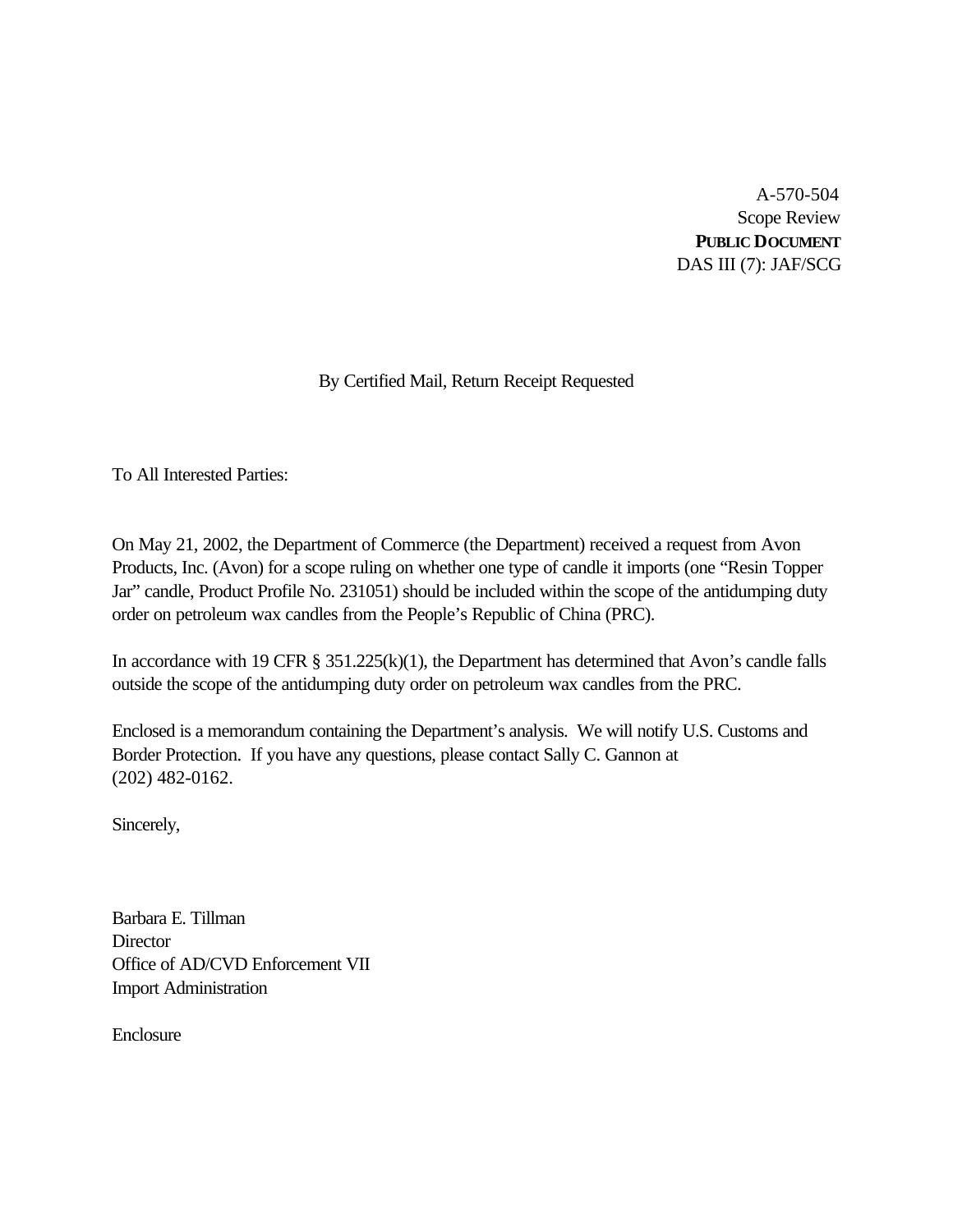A-570-504 Scope Review **PUBLIC DOCUMENT** DAS III (7): JAF/SCG

## By Certified Mail, Return Receipt Requested

To All Interested Parties:

On May 21, 2002, the Department of Commerce (the Department) received a request from Avon Products, Inc. (Avon) for a scope ruling on whether one type of candle it imports (one "Resin Topper Jar" candle, Product Profile No. 231051) should be included within the scope of the antidumping duty order on petroleum wax candles from the People's Republic of China (PRC).

In accordance with 19 CFR § 351.225(k)(1), the Department has determined that Avon's candle falls outside the scope of the antidumping duty order on petroleum wax candles from the PRC.

Enclosed is a memorandum containing the Department's analysis. We will notify U.S. Customs and Border Protection. If you have any questions, please contact Sally C. Gannon at (202) 482-0162.

Sincerely,

Barbara E. Tillman **Director** Office of AD/CVD Enforcement VII Import Administration

Enclosure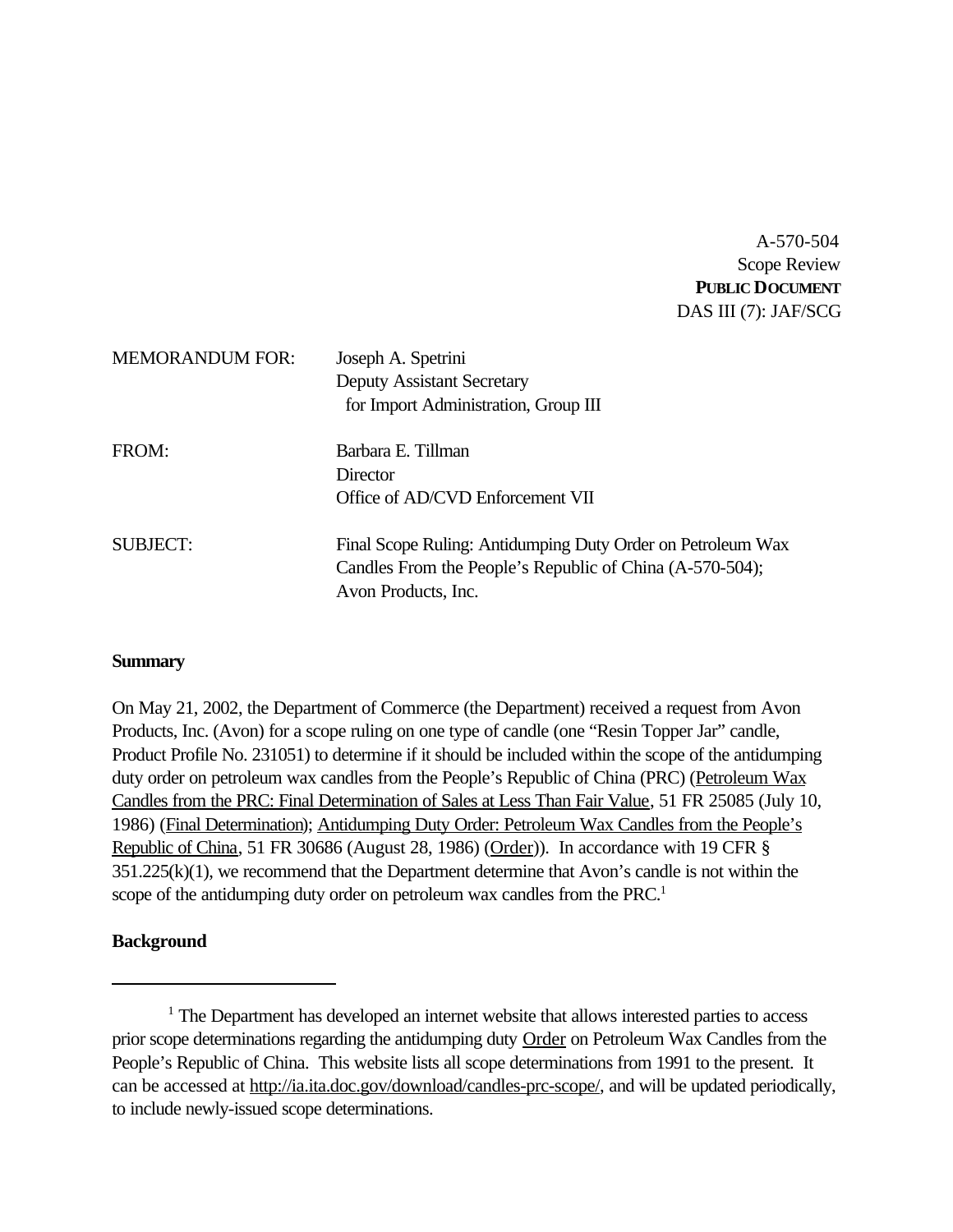A-570-504 Scope Review **PUBLIC DOCUMENT** DAS III (7): JAF/SCG

| <b>MEMORANDUM FOR:</b> | Joseph A. Spetrini                                          |  |
|------------------------|-------------------------------------------------------------|--|
|                        | <b>Deputy Assistant Secretary</b>                           |  |
|                        | for Import Administration, Group III                        |  |
| FROM:                  | Barbara E. Tillman                                          |  |
|                        | Director                                                    |  |
|                        | Office of AD/CVD Enforcement VII                            |  |
| <b>SUBJECT:</b>        | Final Scope Ruling: Antidumping Duty Order on Petroleum Wax |  |
|                        | Candles From the People's Republic of China (A-570-504);    |  |
|                        | Avon Products, Inc.                                         |  |

### **Summary**

On May 21, 2002, the Department of Commerce (the Department) received a request from Avon Products, Inc. (Avon) for a scope ruling on one type of candle (one "Resin Topper Jar" candle, Product Profile No. 231051) to determine if it should be included within the scope of the antidumping duty order on petroleum wax candles from the People's Republic of China (PRC) (Petroleum Wax Candles from the PRC: Final Determination of Sales at Less Than Fair Value, 51 FR 25085 (July 10, 1986) (Final Determination); Antidumping Duty Order: Petroleum Wax Candles from the People's Republic of China, 51 FR 30686 (August 28, 1986) (Order)). In accordance with 19 CFR § 351.225(k)(1), we recommend that the Department determine that Avon's candle is not within the scope of the antidumping duty order on petroleum wax candles from the PRC.<sup>1</sup>

### **Background**

<sup>&</sup>lt;sup>1</sup> The Department has developed an internet website that allows interested parties to access prior scope determinations regarding the antidumping duty Order on Petroleum Wax Candles from the People's Republic of China. This website lists all scope determinations from 1991 to the present. It can be accessed at http://ia.ita.doc.gov/download/candles-prc-scope/, and will be updated periodically, to include newly-issued scope determinations.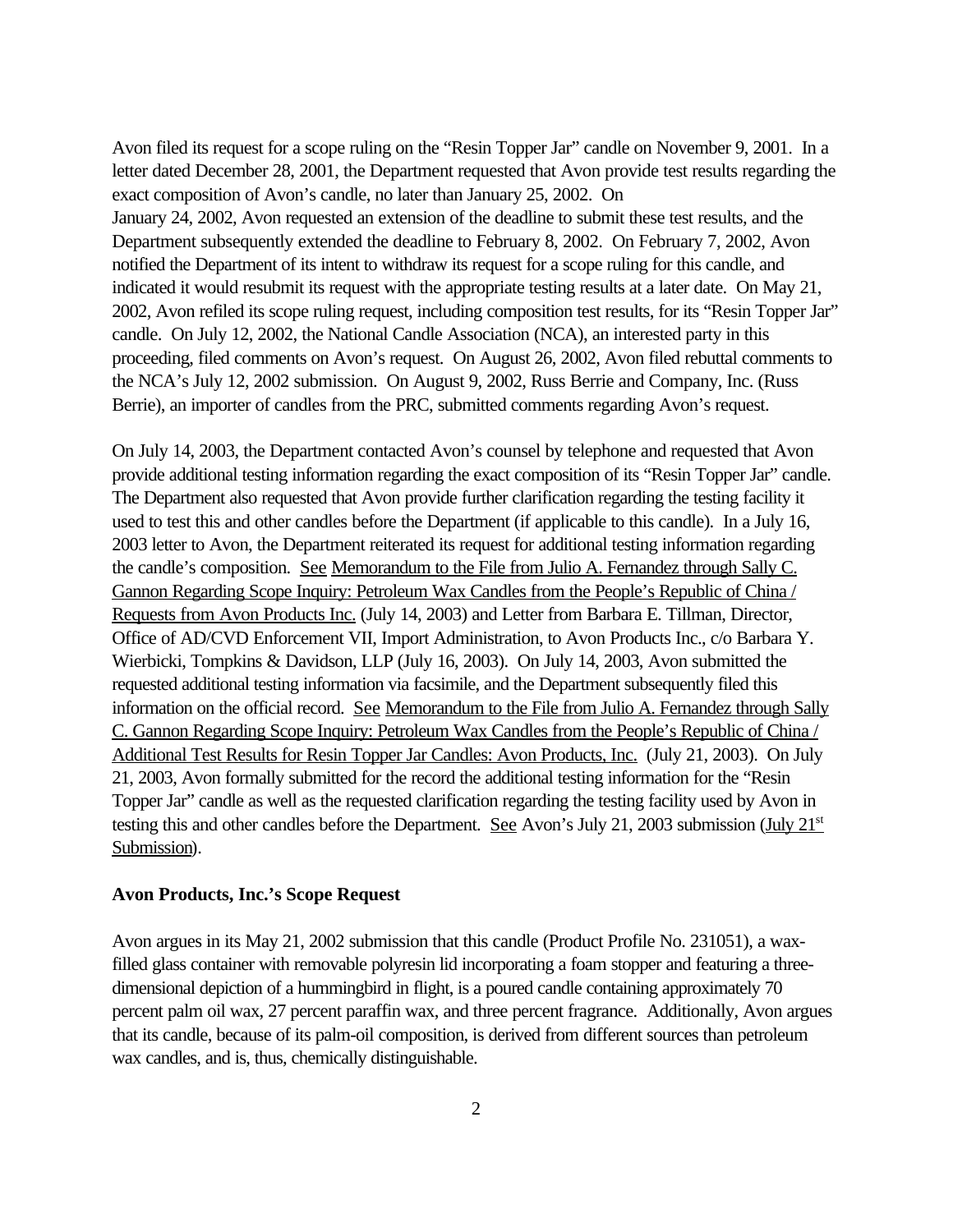Avon filed its request for a scope ruling on the "Resin Topper Jar" candle on November 9, 2001. In a letter dated December 28, 2001, the Department requested that Avon provide test results regarding the exact composition of Avon's candle, no later than January 25, 2002. On January 24, 2002, Avon requested an extension of the deadline to submit these test results, and the Department subsequently extended the deadline to February 8, 2002. On February 7, 2002, Avon notified the Department of its intent to withdraw its request for a scope ruling for this candle, and indicated it would resubmit its request with the appropriate testing results at a later date. On May 21, 2002, Avon refiled its scope ruling request, including composition test results, for its "Resin Topper Jar" candle. On July 12, 2002, the National Candle Association (NCA), an interested party in this proceeding, filed comments on Avon's request. On August 26, 2002, Avon filed rebuttal comments to the NCA's July 12, 2002 submission. On August 9, 2002, Russ Berrie and Company, Inc. (Russ Berrie), an importer of candles from the PRC, submitted comments regarding Avon's request.

On July 14, 2003, the Department contacted Avon's counsel by telephone and requested that Avon provide additional testing information regarding the exact composition of its "Resin Topper Jar" candle. The Department also requested that Avon provide further clarification regarding the testing facility it used to test this and other candles before the Department (if applicable to this candle). In a July 16, 2003 letter to Avon, the Department reiterated its request for additional testing information regarding the candle's composition. See Memorandum to the File from Julio A. Fernandez through Sally C. Gannon Regarding Scope Inquiry: Petroleum Wax Candles from the People's Republic of China / Requests from Avon Products Inc. (July 14, 2003) and Letter from Barbara E. Tillman, Director, Office of AD/CVD Enforcement VII, Import Administration, to Avon Products Inc., c/o Barbara Y. Wierbicki, Tompkins & Davidson, LLP (July 16, 2003). On July 14, 2003, Avon submitted the requested additional testing information via facsimile, and the Department subsequently filed this information on the official record. See Memorandum to the File from Julio A. Fernandez through Sally C. Gannon Regarding Scope Inquiry: Petroleum Wax Candles from the People's Republic of China / Additional Test Results for Resin Topper Jar Candles: Avon Products, Inc. (July 21, 2003). On July 21, 2003, Avon formally submitted for the record the additional testing information for the "Resin Topper Jar" candle as well as the requested clarification regarding the testing facility used by Avon in testing this and other candles before the Department. See Avon's July 21, 2003 submission (July 21<sup>st</sup>) Submission).

#### **Avon Products, Inc.'s Scope Request**

Avon argues in its May 21, 2002 submission that this candle (Product Profile No. 231051), a waxfilled glass container with removable polyresin lid incorporating a foam stopper and featuring a threedimensional depiction of a hummingbird in flight, is a poured candle containing approximately 70 percent palm oil wax, 27 percent paraffin wax, and three percent fragrance. Additionally, Avon argues that its candle, because of its palm-oil composition, is derived from different sources than petroleum wax candles, and is, thus, chemically distinguishable.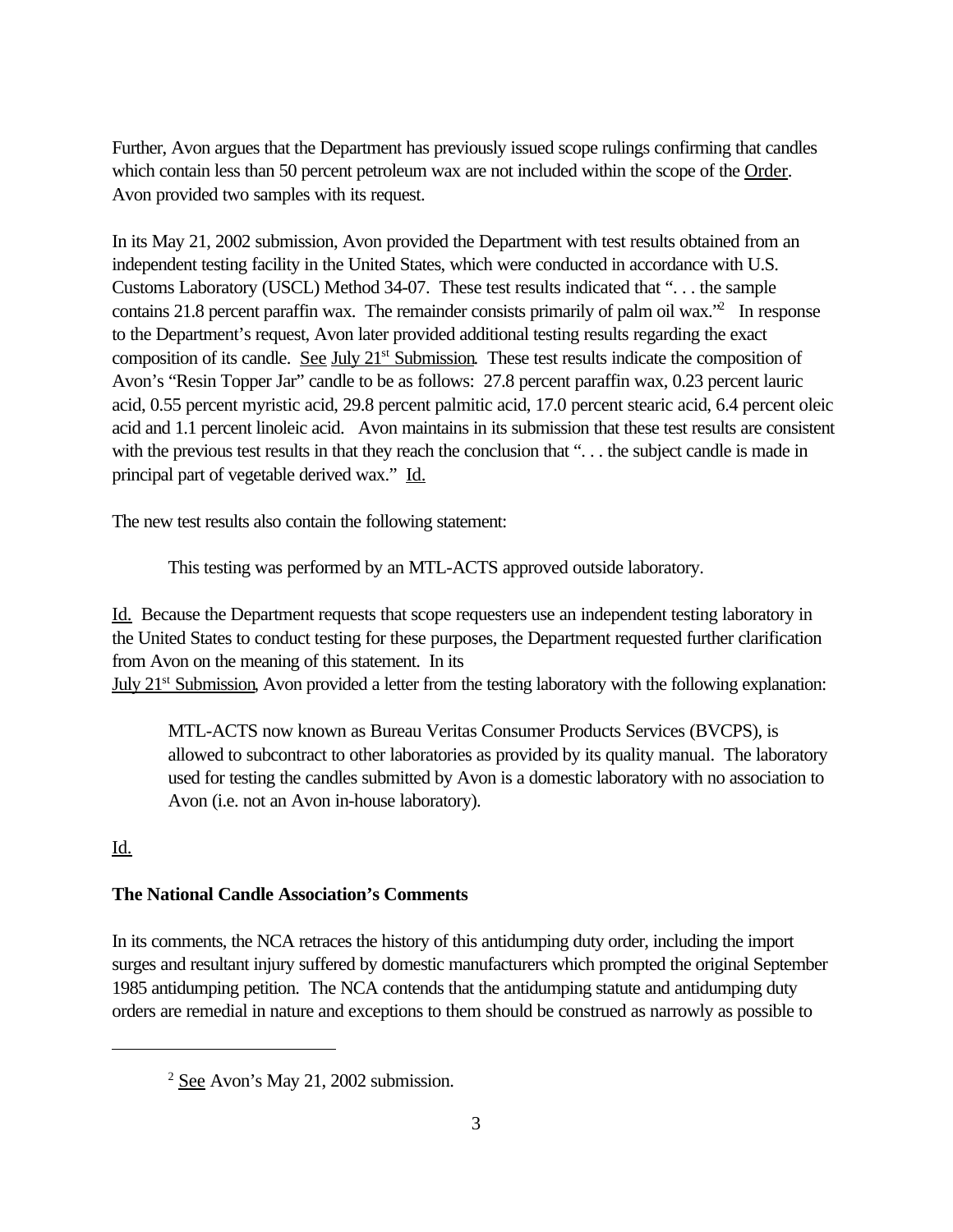Further, Avon argues that the Department has previously issued scope rulings confirming that candles which contain less than 50 percent petroleum wax are not included within the scope of the Order. Avon provided two samples with its request.

In its May 21, 2002 submission, Avon provided the Department with test results obtained from an independent testing facility in the United States, which were conducted in accordance with U.S. Customs Laboratory (USCL) Method 34-07. These test results indicated that ". . . the sample contains 21.8 percent paraffin wax. The remainder consists primarily of palm oil wax.<sup>32</sup> In response to the Department's request, Avon later provided additional testing results regarding the exact composition of its candle. See July  $21<sup>st</sup>$  Submission. These test results indicate the composition of Avon's "Resin Topper Jar" candle to be as follows: 27.8 percent paraffin wax, 0.23 percent lauric acid, 0.55 percent myristic acid, 29.8 percent palmitic acid, 17.0 percent stearic acid, 6.4 percent oleic acid and 1.1 percent linoleic acid. Avon maintains in its submission that these test results are consistent with the previous test results in that they reach the conclusion that "... the subject candle is made in principal part of vegetable derived wax." Id.

The new test results also contain the following statement:

This testing was performed by an MTL-ACTS approved outside laboratory.

Id. Because the Department requests that scope requesters use an independent testing laboratory in the United States to conduct testing for these purposes, the Department requested further clarification from Avon on the meaning of this statement. In its

July 21<sup>st</sup> Submission, Avon provided a letter from the testing laboratory with the following explanation:

MTL-ACTS now known as Bureau Veritas Consumer Products Services (BVCPS), is allowed to subcontract to other laboratories as provided by its quality manual. The laboratory used for testing the candles submitted by Avon is a domestic laboratory with no association to Avon (i.e. not an Avon in-house laboratory).

# Id.

## **The National Candle Association's Comments**

In its comments, the NCA retraces the history of this antidumping duty order, including the import surges and resultant injury suffered by domestic manufacturers which prompted the original September 1985 antidumping petition. The NCA contends that the antidumping statute and antidumping duty orders are remedial in nature and exceptions to them should be construed as narrowly as possible to

<sup>2</sup> See Avon's May 21, 2002 submission.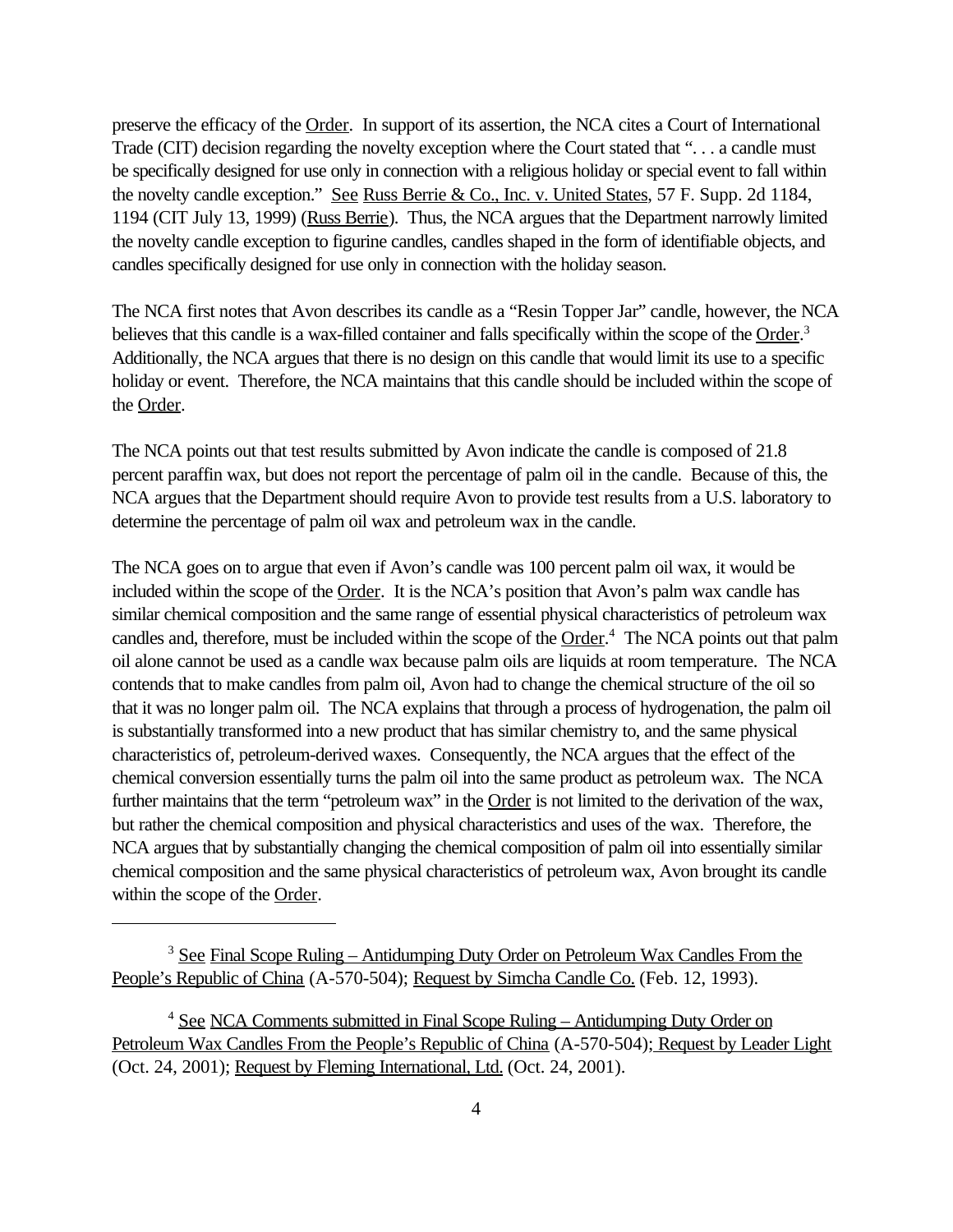preserve the efficacy of the Order. In support of its assertion, the NCA cites a Court of International Trade (CIT) decision regarding the novelty exception where the Court stated that "... a candle must be specifically designed for use only in connection with a religious holiday or special event to fall within the novelty candle exception." See Russ Berrie & Co., Inc. v. United States, 57 F. Supp. 2d 1184, 1194 (CIT July 13, 1999) (Russ Berrie). Thus, the NCA argues that the Department narrowly limited the novelty candle exception to figurine candles, candles shaped in the form of identifiable objects, and candles specifically designed for use only in connection with the holiday season.

The NCA first notes that Avon describes its candle as a "Resin Topper Jar" candle, however, the NCA believes that this candle is a wax-filled container and falls specifically within the scope of the Order.<sup>3</sup> Additionally, the NCA argues that there is no design on this candle that would limit its use to a specific holiday or event. Therefore, the NCA maintains that this candle should be included within the scope of the Order.

The NCA points out that test results submitted by Avon indicate the candle is composed of 21.8 percent paraffin wax, but does not report the percentage of palm oil in the candle. Because of this, the NCA argues that the Department should require Avon to provide test results from a U.S. laboratory to determine the percentage of palm oil wax and petroleum wax in the candle.

The NCA goes on to argue that even if Avon's candle was 100 percent palm oil wax, it would be included within the scope of the Order. It is the NCA's position that Avon's palm wax candle has similar chemical composition and the same range of essential physical characteristics of petroleum wax candles and, therefore, must be included within the scope of the Order.<sup>4</sup> The NCA points out that palm oil alone cannot be used as a candle wax because palm oils are liquids at room temperature. The NCA contends that to make candles from palm oil, Avon had to change the chemical structure of the oil so that it was no longer palm oil. The NCA explains that through a process of hydrogenation, the palm oil is substantially transformed into a new product that has similar chemistry to, and the same physical characteristics of, petroleum-derived waxes. Consequently, the NCA argues that the effect of the chemical conversion essentially turns the palm oil into the same product as petroleum wax. The NCA further maintains that the term "petroleum wax" in the Order is not limited to the derivation of the wax, but rather the chemical composition and physical characteristics and uses of the wax. Therefore, the NCA argues that by substantially changing the chemical composition of palm oil into essentially similar chemical composition and the same physical characteristics of petroleum wax, Avon brought its candle within the scope of the Order.

<sup>3</sup> See Final Scope Ruling – Antidumping Duty Order on Petroleum Wax Candles From the People's Republic of China (A-570-504); Request by Simcha Candle Co. (Feb. 12, 1993).

<sup>4</sup> See NCA Comments submitted in Final Scope Ruling – Antidumping Duty Order on Petroleum Wax Candles From the People's Republic of China (A-570-504); Request by Leader Light (Oct. 24, 2001); Request by Fleming International, Ltd. (Oct. 24, 2001).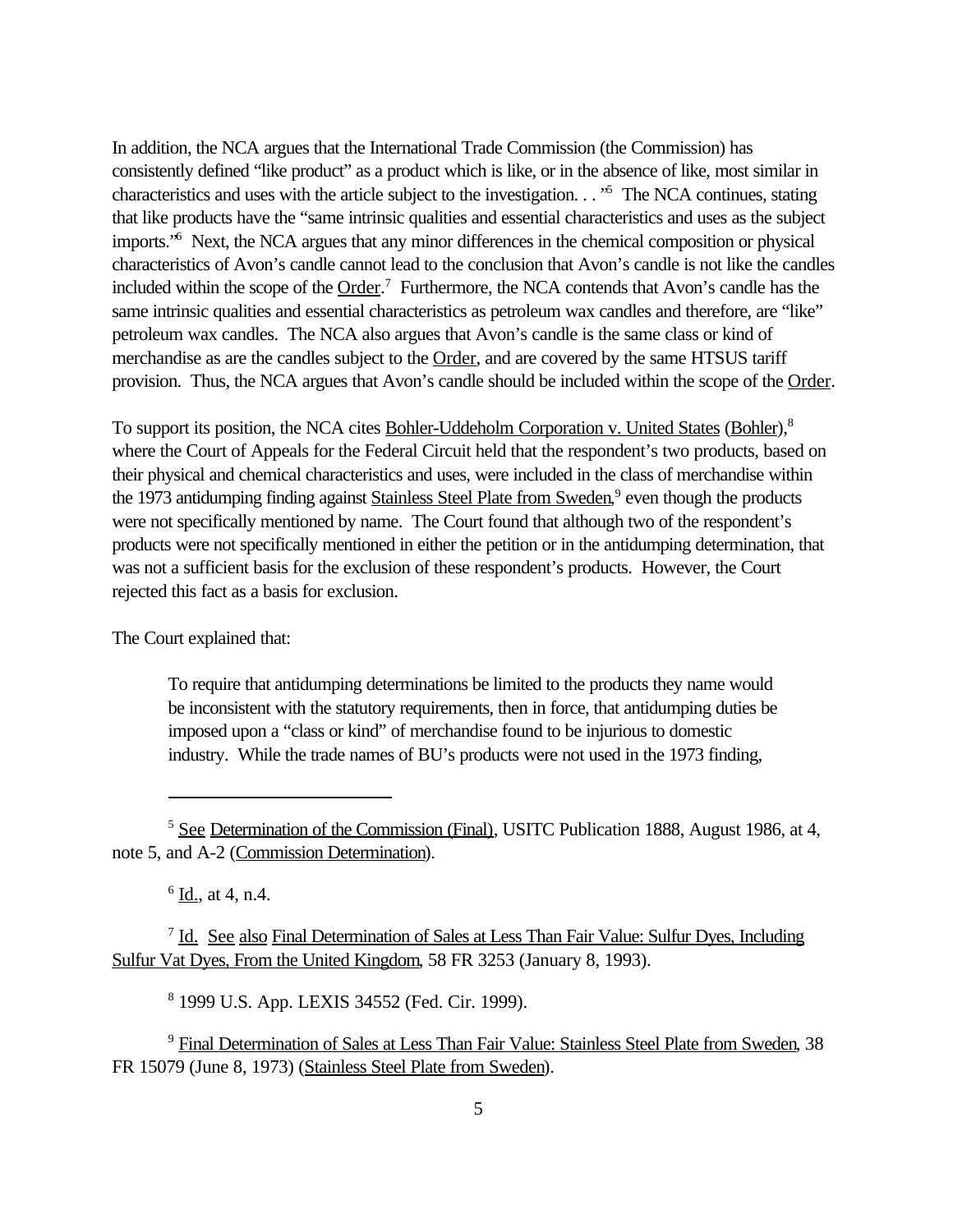In addition, the NCA argues that the International Trade Commission (the Commission) has consistently defined "like product" as a product which is like, or in the absence of like, most similar in characteristics and uses with the article subject to the investigation. . . "<sup>5</sup> The NCA continues, stating that like products have the "same intrinsic qualities and essential characteristics and uses as the subject imports.<sup>'6</sup> Next, the NCA argues that any minor differences in the chemical composition or physical characteristics of Avon's candle cannot lead to the conclusion that Avon's candle is not like the candles included within the scope of the Order.<sup>7</sup> Furthermore, the NCA contends that Avon's candle has the same intrinsic qualities and essential characteristics as petroleum wax candles and therefore, are "like" petroleum wax candles. The NCA also argues that Avon's candle is the same class or kind of merchandise as are the candles subject to the Order, and are covered by the same HTSUS tariff provision. Thus, the NCA argues that Avon's candle should be included within the scope of the Order.

To support its position, the NCA cites Bohler-Uddeholm Corporation v. United States (Bohler),<sup>8</sup> where the Court of Appeals for the Federal Circuit held that the respondent's two products, based on their physical and chemical characteristics and uses, were included in the class of merchandise within the 1973 antidumping finding against Stainless Steel Plate from Sweden,<sup>9</sup> even though the products were not specifically mentioned by name. The Court found that although two of the respondent's products were not specifically mentioned in either the petition or in the antidumping determination, that was not a sufficient basis for the exclusion of these respondent's products. However, the Court rejected this fact as a basis for exclusion.

The Court explained that:

To require that antidumping determinations be limited to the products they name would be inconsistent with the statutory requirements, then in force, that antidumping duties be imposed upon a "class or kind" of merchandise found to be injurious to domestic industry. While the trade names of BU's products were not used in the 1973 finding,

<sup>7</sup> Id. See also Final Determination of Sales at Less Than Fair Value: Sulfur Dyes, Including Sulfur Vat Dyes, From the United Kingdom, 58 FR 3253 (January 8, 1993).

8 1999 U.S. App. LEXIS 34552 (Fed. Cir. 1999).

<sup>9</sup> Final Determination of Sales at Less Than Fair Value: Stainless Steel Plate from Sweden, 38 FR 15079 (June 8, 1973) (Stainless Steel Plate from Sweden).

<sup>5</sup> See Determination of the Commission (Final), USITC Publication 1888, August 1986, at 4, note 5, and A-2 (Commission Determination).

 $6 \underline{Id}$ , at 4, n.4.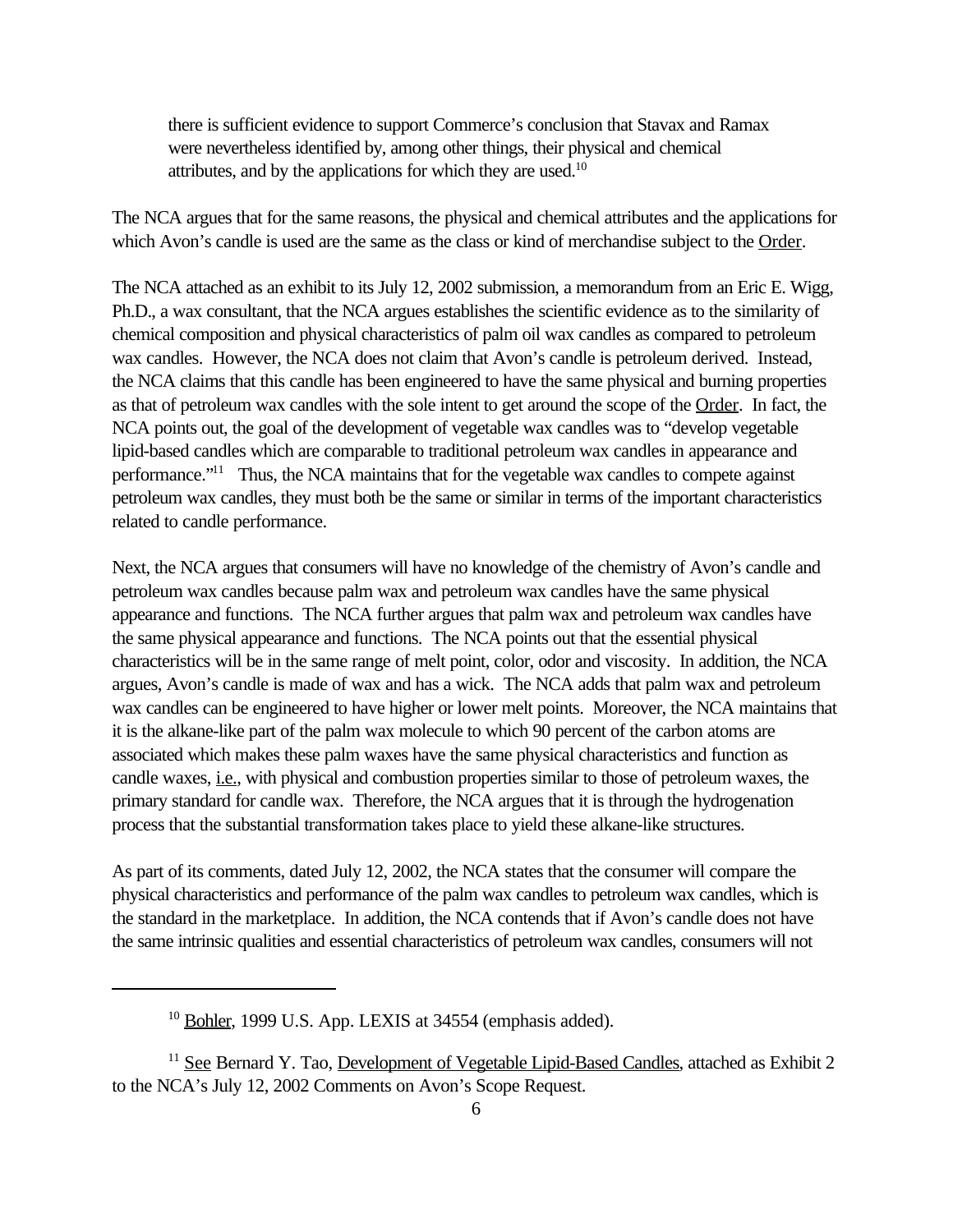there is sufficient evidence to support Commerce's conclusion that Stavax and Ramax were nevertheless identified by, among other things, their physical and chemical attributes, and by the applications for which they are used.<sup>10</sup>

The NCA argues that for the same reasons, the physical and chemical attributes and the applications for which Avon's candle is used are the same as the class or kind of merchandise subject to the Order.

The NCA attached as an exhibit to its July 12, 2002 submission, a memorandum from an Eric E. Wigg, Ph.D., a wax consultant, that the NCA argues establishes the scientific evidence as to the similarity of chemical composition and physical characteristics of palm oil wax candles as compared to petroleum wax candles. However, the NCA does not claim that Avon's candle is petroleum derived. Instead, the NCA claims that this candle has been engineered to have the same physical and burning properties as that of petroleum wax candles with the sole intent to get around the scope of the Order. In fact, the NCA points out, the goal of the development of vegetable wax candles was to "develop vegetable lipid-based candles which are comparable to traditional petroleum wax candles in appearance and performance."<sup>11</sup> Thus, the NCA maintains that for the vegetable wax candles to compete against petroleum wax candles, they must both be the same or similar in terms of the important characteristics related to candle performance.

Next, the NCA argues that consumers will have no knowledge of the chemistry of Avon's candle and petroleum wax candles because palm wax and petroleum wax candles have the same physical appearance and functions. The NCA further argues that palm wax and petroleum wax candles have the same physical appearance and functions. The NCA points out that the essential physical characteristics will be in the same range of melt point, color, odor and viscosity. In addition, the NCA argues, Avon's candle is made of wax and has a wick. The NCA adds that palm wax and petroleum wax candles can be engineered to have higher or lower melt points. Moreover, the NCA maintains that it is the alkane-like part of the palm wax molecule to which 90 percent of the carbon atoms are associated which makes these palm waxes have the same physical characteristics and function as candle waxes, <u>i.e.</u>, with physical and combustion properties similar to those of petroleum waxes, the primary standard for candle wax. Therefore, the NCA argues that it is through the hydrogenation process that the substantial transformation takes place to yield these alkane-like structures.

As part of its comments, dated July 12, 2002, the NCA states that the consumer will compare the physical characteristics and performance of the palm wax candles to petroleum wax candles, which is the standard in the marketplace. In addition, the NCA contends that if Avon's candle does not have the same intrinsic qualities and essential characteristics of petroleum wax candles, consumers will not

<sup>&</sup>lt;sup>10</sup> Bohler, 1999 U.S. App. LEXIS at 34554 (emphasis added).

<sup>&</sup>lt;sup>11</sup> See Bernard Y. Tao, Development of Vegetable Lipid-Based Candles, attached as Exhibit 2 to the NCA's July 12, 2002 Comments on Avon's Scope Request.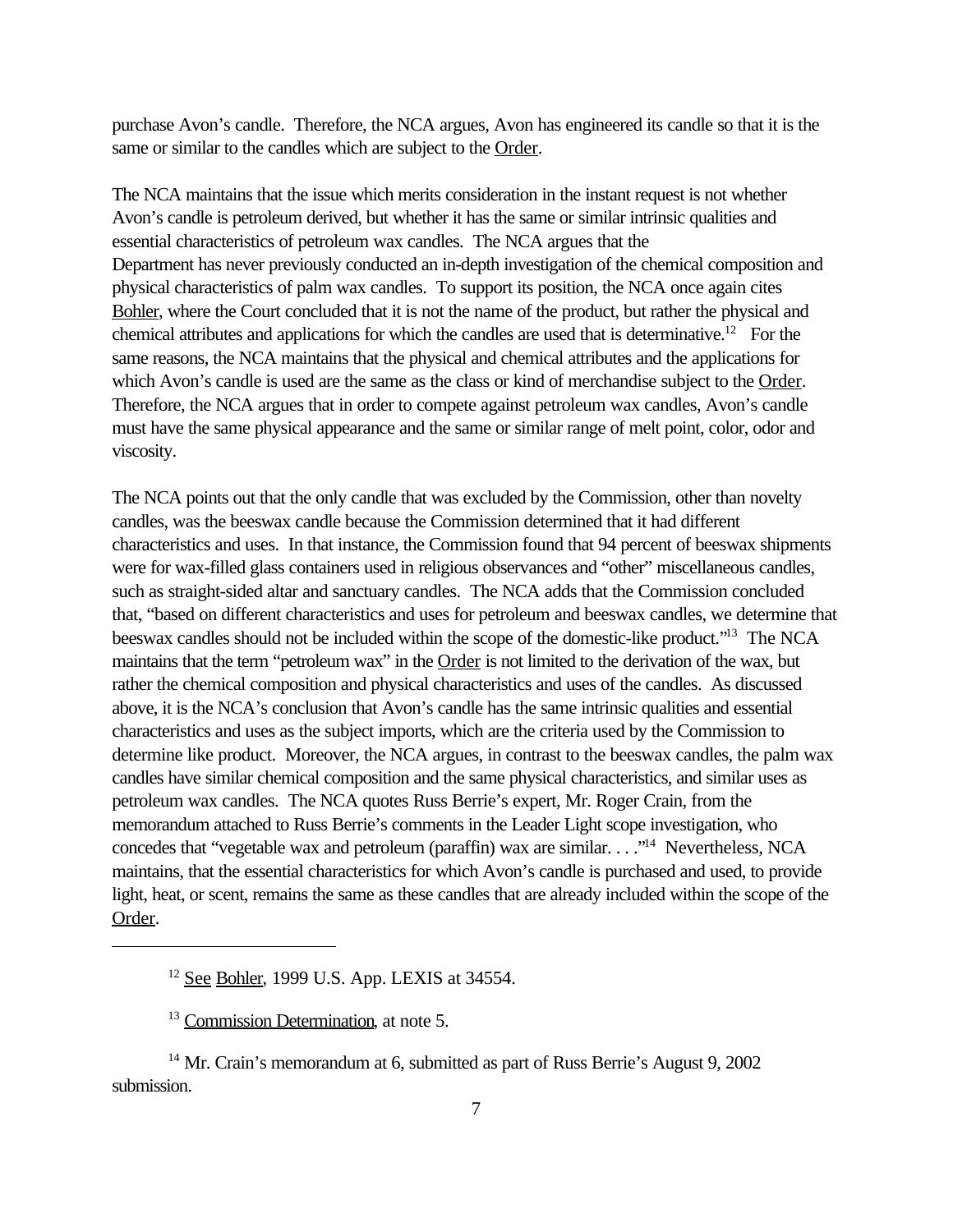purchase Avon's candle. Therefore, the NCA argues, Avon has engineered its candle so that it is the same or similar to the candles which are subject to the Order.

The NCA maintains that the issue which merits consideration in the instant request is not whether Avon's candle is petroleum derived, but whether it has the same or similar intrinsic qualities and essential characteristics of petroleum wax candles. The NCA argues that the Department has never previously conducted an in-depth investigation of the chemical composition and physical characteristics of palm wax candles. To support its position, the NCA once again cites Bohler, where the Court concluded that it is not the name of the product, but rather the physical and chemical attributes and applications for which the candles are used that is determinative.<sup>12</sup> For the same reasons, the NCA maintains that the physical and chemical attributes and the applications for which Avon's candle is used are the same as the class or kind of merchandise subject to the Order. Therefore, the NCA argues that in order to compete against petroleum wax candles, Avon's candle must have the same physical appearance and the same or similar range of melt point, color, odor and viscosity.

The NCA points out that the only candle that was excluded by the Commission, other than novelty candles, was the beeswax candle because the Commission determined that it had different characteristics and uses. In that instance, the Commission found that 94 percent of beeswax shipments were for wax-filled glass containers used in religious observances and "other" miscellaneous candles, such as straight-sided altar and sanctuary candles. The NCA adds that the Commission concluded that, "based on different characteristics and uses for petroleum and beeswax candles, we determine that beeswax candles should not be included within the scope of the domestic-like product."<sup>13</sup> The NCA maintains that the term "petroleum wax" in the Order is not limited to the derivation of the wax, but rather the chemical composition and physical characteristics and uses of the candles. As discussed above, it is the NCA's conclusion that Avon's candle has the same intrinsic qualities and essential characteristics and uses as the subject imports, which are the criteria used by the Commission to determine like product. Moreover, the NCA argues, in contrast to the beeswax candles, the palm wax candles have similar chemical composition and the same physical characteristics, and similar uses as petroleum wax candles. The NCA quotes Russ Berrie's expert, Mr. Roger Crain, from the memorandum attached to Russ Berrie's comments in the Leader Light scope investigation, who concedes that "vegetable wax and petroleum (paraffin) wax are similar. . . ."<sup>14</sup> Nevertheless, NCA maintains, that the essential characteristics for which Avon's candle is purchased and used, to provide light, heat, or scent, remains the same as these candles that are already included within the scope of the Order.

<sup>12</sup> See Bohler, 1999 U.S. App. LEXIS at 34554.

<sup>13</sup> Commission Determination, at note 5.

<sup>&</sup>lt;sup>14</sup> Mr. Crain's memorandum at 6, submitted as part of Russ Berrie's August 9, 2002 submission.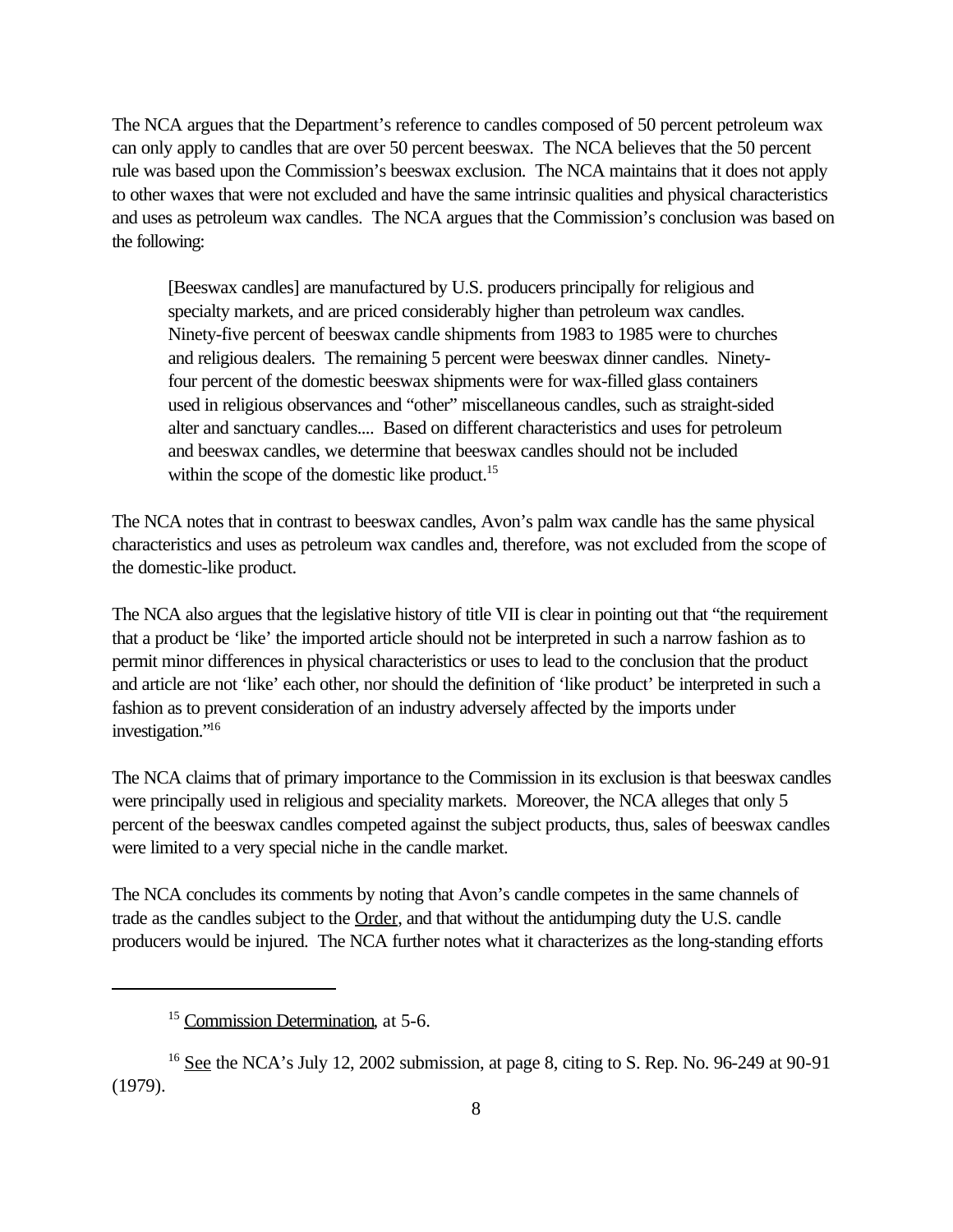The NCA argues that the Department's reference to candles composed of 50 percent petroleum wax can only apply to candles that are over 50 percent beeswax. The NCA believes that the 50 percent rule was based upon the Commission's beeswax exclusion. The NCA maintains that it does not apply to other waxes that were not excluded and have the same intrinsic qualities and physical characteristics and uses as petroleum wax candles. The NCA argues that the Commission's conclusion was based on the following:

[Beeswax candles] are manufactured by U.S. producers principally for religious and specialty markets, and are priced considerably higher than petroleum wax candles. Ninety-five percent of beeswax candle shipments from 1983 to 1985 were to churches and religious dealers. The remaining 5 percent were beeswax dinner candles. Ninetyfour percent of the domestic beeswax shipments were for wax-filled glass containers used in religious observances and "other" miscellaneous candles, such as straight-sided alter and sanctuary candles.... Based on different characteristics and uses for petroleum and beeswax candles, we determine that beeswax candles should not be included within the scope of the domestic like product.<sup>15</sup>

The NCA notes that in contrast to beeswax candles, Avon's palm wax candle has the same physical characteristics and uses as petroleum wax candles and, therefore, was not excluded from the scope of the domestic-like product.

The NCA also argues that the legislative history of title VII is clear in pointing out that "the requirement that a product be 'like' the imported article should not be interpreted in such a narrow fashion as to permit minor differences in physical characteristics or uses to lead to the conclusion that the product and article are not 'like' each other, nor should the definition of 'like product' be interpreted in such a fashion as to prevent consideration of an industry adversely affected by the imports under investigation."<sup>16</sup>

The NCA claims that of primary importance to the Commission in its exclusion is that beeswax candles were principally used in religious and speciality markets. Moreover, the NCA alleges that only 5 percent of the beeswax candles competed against the subject products, thus, sales of beeswax candles were limited to a very special niche in the candle market.

The NCA concludes its comments by noting that Avon's candle competes in the same channels of trade as the candles subject to the Order, and that without the antidumping duty the U.S. candle producers would be injured. The NCA further notes what it characterizes as the long-standing efforts

<sup>&</sup>lt;sup>15</sup> Commission Determination, at 5-6.

<sup>&</sup>lt;sup>16</sup> See the NCA's July 12, 2002 submission, at page 8, citing to S. Rep. No. 96-249 at 90-91 (1979).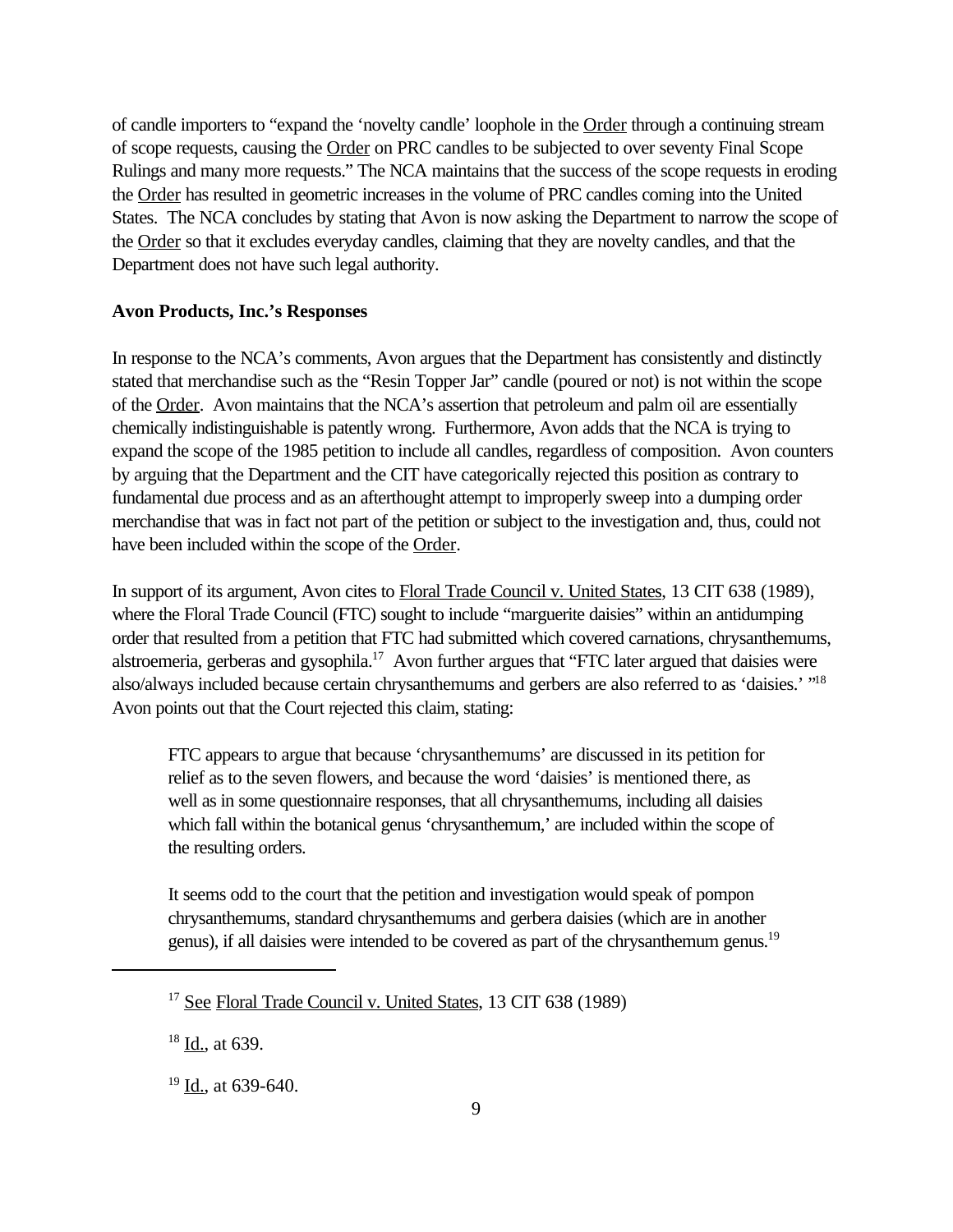of candle importers to "expand the 'novelty candle' loophole in the Order through a continuing stream of scope requests, causing the Order on PRC candles to be subjected to over seventy Final Scope Rulings and many more requests." The NCA maintains that the success of the scope requests in eroding the Order has resulted in geometric increases in the volume of PRC candles coming into the United States. The NCA concludes by stating that Avon is now asking the Department to narrow the scope of the Order so that it excludes everyday candles, claiming that they are novelty candles, and that the Department does not have such legal authority.

#### **Avon Products, Inc.'s Responses**

In response to the NCA's comments, Avon argues that the Department has consistently and distinctly stated that merchandise such as the "Resin Topper Jar" candle (poured or not) is not within the scope of the Order. Avon maintains that the NCA's assertion that petroleum and palm oil are essentially chemically indistinguishable is patently wrong. Furthermore, Avon adds that the NCA is trying to expand the scope of the 1985 petition to include all candles, regardless of composition. Avon counters by arguing that the Department and the CIT have categorically rejected this position as contrary to fundamental due process and as an afterthought attempt to improperly sweep into a dumping order merchandise that was in fact not part of the petition or subject to the investigation and, thus, could not have been included within the scope of the Order.

In support of its argument, Avon cites to Floral Trade Council v. United States, 13 CIT 638 (1989), where the Floral Trade Council (FTC) sought to include "marguerite daisies" within an antidumping order that resulted from a petition that FTC had submitted which covered carnations, chrysanthemums, alstroemeria, gerberas and gysophila.<sup>17</sup> Avon further argues that "FTC later argued that daisies were also/always included because certain chrysanthemums and gerbers are also referred to as 'daisies.' "<sup>18</sup> Avon points out that the Court rejected this claim, stating:

FTC appears to argue that because 'chrysanthemums' are discussed in its petition for relief as to the seven flowers, and because the word 'daisies' is mentioned there, as well as in some questionnaire responses, that all chrysanthemums, including all daisies which fall within the botanical genus 'chrysanthemum,' are included within the scope of the resulting orders.

It seems odd to the court that the petition and investigation would speak of pompon chrysanthemums, standard chrysanthemums and gerbera daisies (which are in another genus), if all daisies were intended to be covered as part of the chrysanthemum genus.<sup>19</sup>

<sup>&</sup>lt;sup>17</sup> See Floral Trade Council v. United States, 13 CIT 638 (1989)

 $18$  Id., at 639.

<sup>&</sup>lt;sup>19</sup> Id., at 639-640.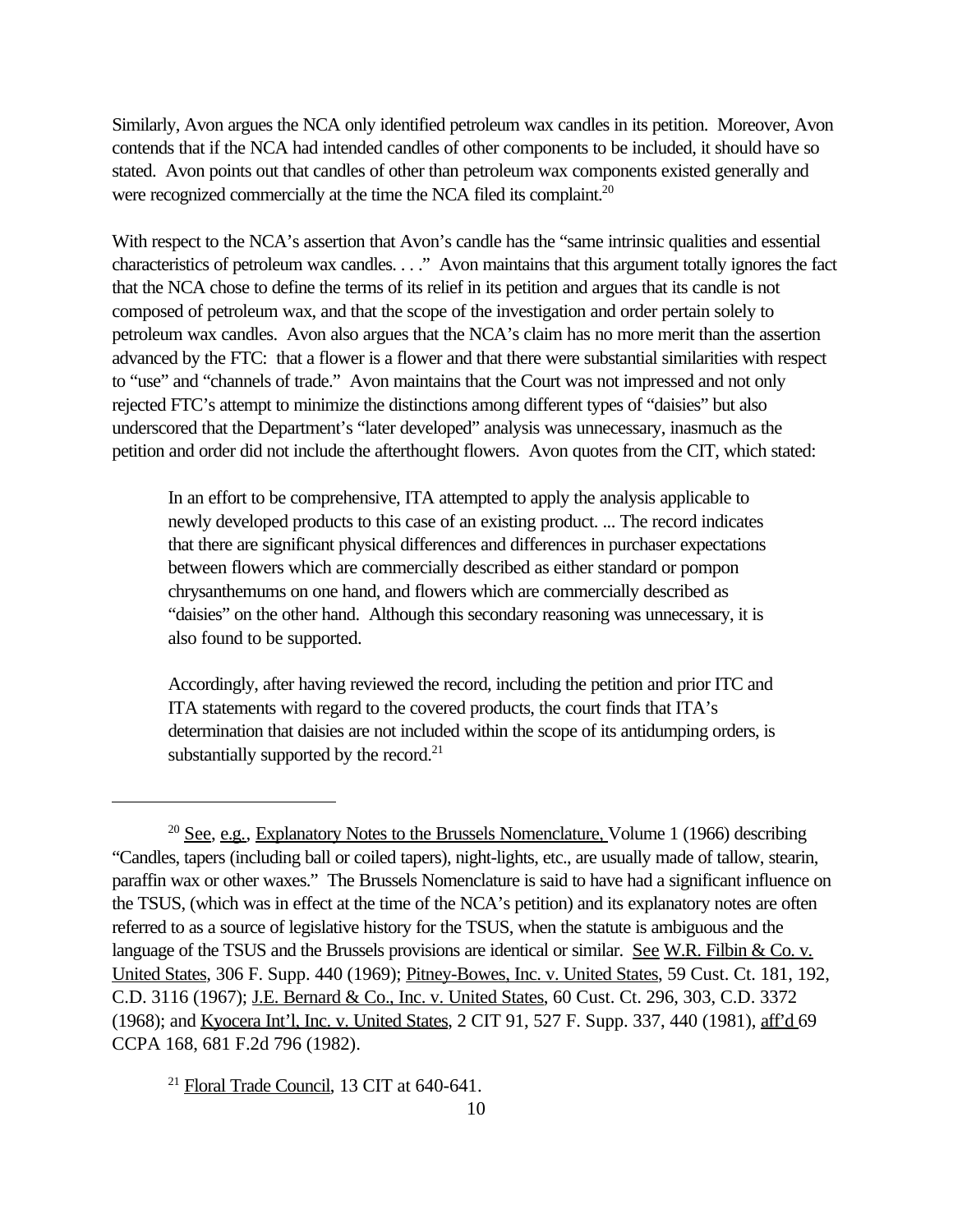Similarly, Avon argues the NCA only identified petroleum wax candles in its petition. Moreover, Avon contends that if the NCA had intended candles of other components to be included, it should have so stated. Avon points out that candles of other than petroleum wax components existed generally and were recognized commercially at the time the NCA filed its complaint.<sup>20</sup>

With respect to the NCA's assertion that Avon's candle has the "same intrinsic qualities and essential characteristics of petroleum wax candles. . . ." Avon maintains that this argument totally ignores the fact that the NCA chose to define the terms of its relief in its petition and argues that its candle is not composed of petroleum wax, and that the scope of the investigation and order pertain solely to petroleum wax candles. Avon also argues that the NCA's claim has no more merit than the assertion advanced by the FTC: that a flower is a flower and that there were substantial similarities with respect to "use" and "channels of trade." Avon maintains that the Court was not impressed and not only rejected FTC's attempt to minimize the distinctions among different types of "daisies" but also underscored that the Department's "later developed" analysis was unnecessary, inasmuch as the petition and order did not include the afterthought flowers. Avon quotes from the CIT, which stated:

In an effort to be comprehensive, ITA attempted to apply the analysis applicable to newly developed products to this case of an existing product. ... The record indicates that there are significant physical differences and differences in purchaser expectations between flowers which are commercially described as either standard or pompon chrysanthemums on one hand, and flowers which are commercially described as "daisies" on the other hand. Although this secondary reasoning was unnecessary, it is also found to be supported.

Accordingly, after having reviewed the record, including the petition and prior ITC and ITA statements with regard to the covered products, the court finds that ITA's determination that daisies are not included within the scope of its antidumping orders, is substantially supported by the record. $21$ 

<sup>21</sup> Floral Trade Council, 13 CIT at 640-641.

<sup>&</sup>lt;sup>20</sup> See, e.g., Explanatory Notes to the Brussels Nomenclature, Volume 1 (1966) describing "Candles, tapers (including ball or coiled tapers), night-lights, etc., are usually made of tallow, stearin, paraffin wax or other waxes." The Brussels Nomenclature is said to have had a significant influence on the TSUS, (which was in effect at the time of the NCA's petition) and its explanatory notes are often referred to as a source of legislative history for the TSUS, when the statute is ambiguous and the language of the TSUS and the Brussels provisions are identical or similar. See W.R. Filbin & Co. v. United States*,* 306 F. Supp. 440 (1969); Pitney-Bowes, Inc. v. United States, 59 Cust. Ct. 181, 192, C.D. 3116 (1967); J.E. Bernard & Co., Inc. v. United States, 60 Cust. Ct. 296, 303, C.D. 3372 (1968); and Kyocera Int'l, Inc. v. United States, 2 CIT 91, 527 F. Supp. 337, 440 (1981), aff'd 69 CCPA 168, 681 F.2d 796 (1982).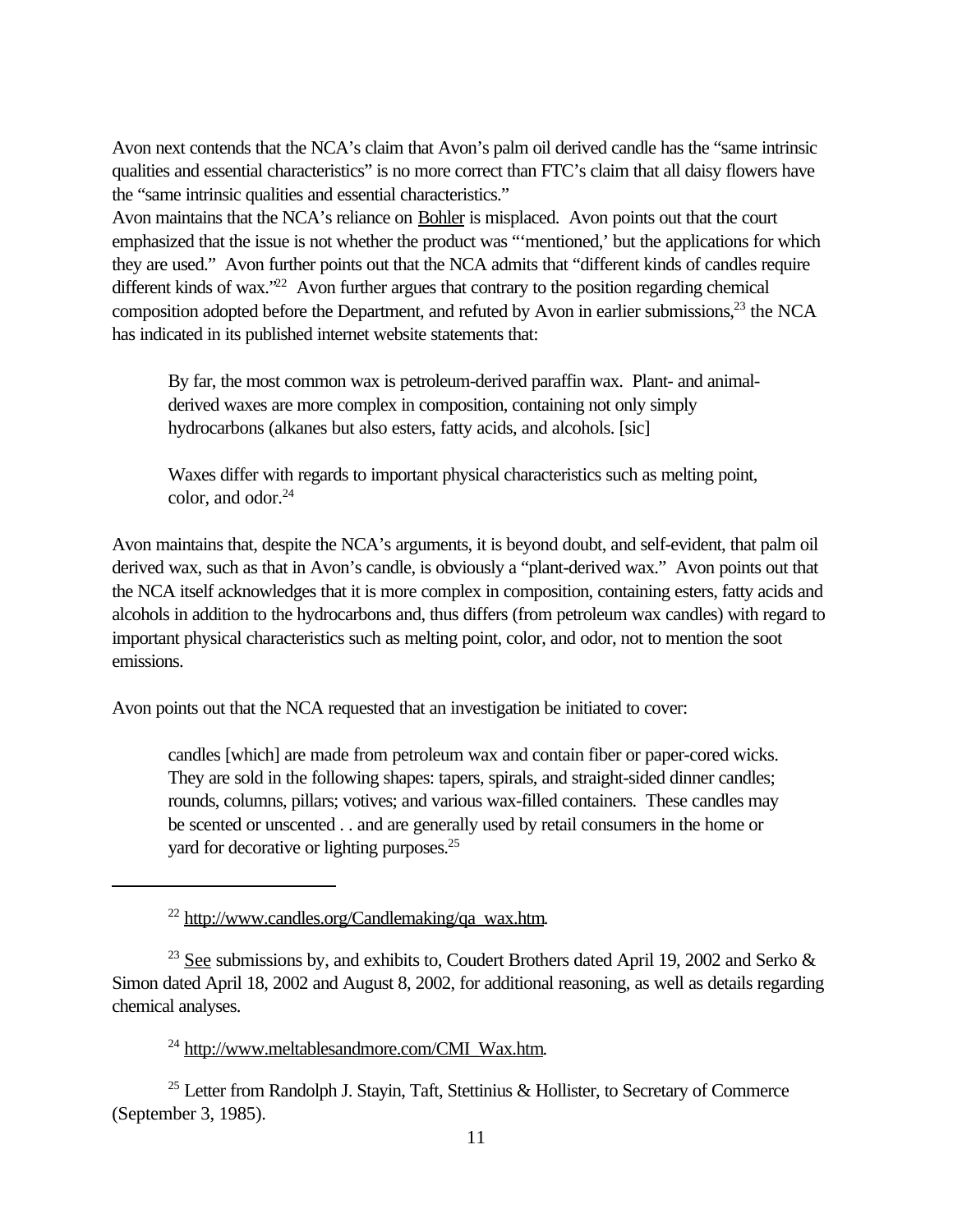Avon next contends that the NCA's claim that Avon's palm oil derived candle has the "same intrinsic qualities and essential characteristics" is no more correct than FTC's claim that all daisy flowers have the "same intrinsic qualities and essential characteristics."

Avon maintains that the NCA's reliance on Bohler is misplaced. Avon points out that the court emphasized that the issue is not whether the product was "'mentioned,' but the applications for which they are used." Avon further points out that the NCA admits that "different kinds of candles require different kinds of wax.<sup> $22$ </sup> Avon further argues that contrary to the position regarding chemical composition adopted before the Department, and refuted by Avon in earlier submissions,<sup>23</sup> the NCA has indicated in its published internet website statements that:

By far, the most common wax is petroleum-derived paraffin wax. Plant- and animalderived waxes are more complex in composition, containing not only simply hydrocarbons (alkanes but also esters, fatty acids, and alcohols. [sic]

Waxes differ with regards to important physical characteristics such as melting point, color, and odor.<sup>24</sup>

Avon maintains that, despite the NCA's arguments, it is beyond doubt, and self-evident, that palm oil derived wax, such as that in Avon's candle, is obviously a "plant-derived wax." Avon points out that the NCA itself acknowledges that it is more complex in composition, containing esters, fatty acids and alcohols in addition to the hydrocarbons and, thus differs (from petroleum wax candles) with regard to important physical characteristics such as melting point, color, and odor, not to mention the soot emissions.

Avon points out that the NCA requested that an investigation be initiated to cover:

candles [which] are made from petroleum wax and contain fiber or paper-cored wicks. They are sold in the following shapes: tapers, spirals, and straight-sided dinner candles; rounds, columns, pillars; votives; and various wax-filled containers. These candles may be scented or unscented . . and are generally used by retail consumers in the home or yard for decorative or lighting purposes.<sup>25</sup>

<sup>24</sup> http://www.meltablesandmore.com/CMI\_Wax.htm.

<sup>25</sup> Letter from Randolph J. Stayin, Taft, Stettinius & Hollister, to Secretary of Commerce (September 3, 1985).

 $22$  http://www.candles.org/Candlemaking/qa\_wax.htm.

<sup>&</sup>lt;sup>23</sup> See submissions by, and exhibits to, Coudert Brothers dated April 19, 2002 and Serko  $\&$ Simon dated April 18, 2002 and August 8, 2002, for additional reasoning, as well as details regarding chemical analyses.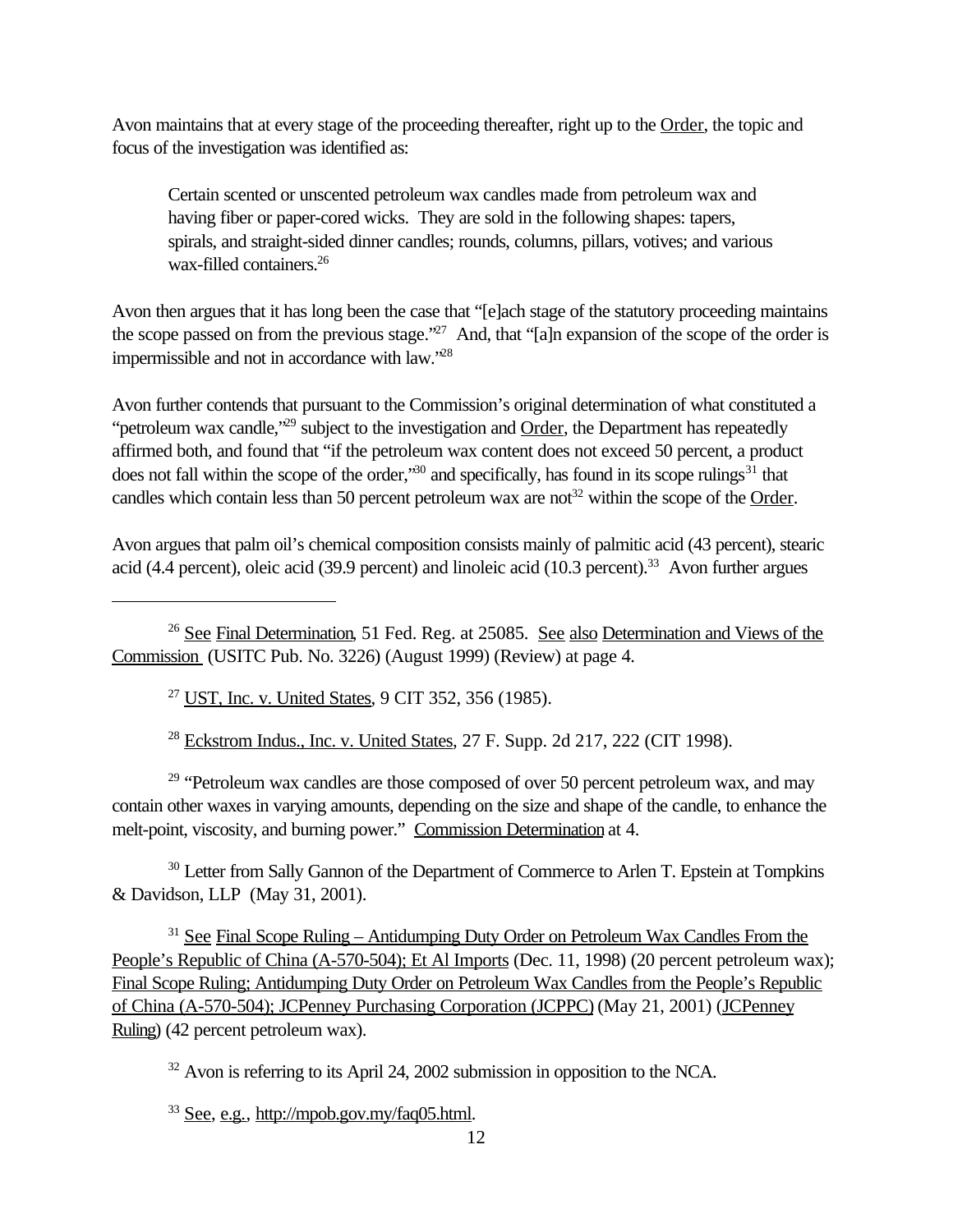Avon maintains that at every stage of the proceeding thereafter, right up to the Order, the topic and focus of the investigation was identified as:

Certain scented or unscented petroleum wax candles made from petroleum wax and having fiber or paper-cored wicks. They are sold in the following shapes: tapers, spirals, and straight-sided dinner candles; rounds, columns, pillars, votives; and various wax-filled containers.<sup>26</sup>

Avon then argues that it has long been the case that "[e]ach stage of the statutory proceeding maintains the scope passed on from the previous stage."<sup>27</sup> And, that "[a]n expansion of the scope of the order is impermissible and not in accordance with law."<sup>28</sup>

Avon further contends that pursuant to the Commission's original determination of what constituted a "petroleum wax candle,"<sup>29</sup> subject to the investigation and Order, the Department has repeatedly affirmed both, and found that "if the petroleum wax content does not exceed 50 percent, a product does not fall within the scope of the order,<sup>30</sup> and specifically, has found in its scope rulings<sup>31</sup> that candles which contain less than 50 percent petroleum wax are not<sup>32</sup> within the scope of the Order.

Avon argues that palm oil's chemical composition consists mainly of palmitic acid (43 percent), stearic acid (4.4 percent), oleic acid (39.9 percent) and linoleic acid (10.3 percent).33 Avon further argues

<sup>27</sup> UST, Inc. v. United States, 9 CIT 352, 356 (1985).

<sup>28</sup> Eckstrom Indus., Inc. v. United States*,* 27 F. Supp. 2d 217, 222 (CIT 1998).

 $29$  "Petroleum wax candles are those composed of over 50 percent petroleum wax, and may contain other waxes in varying amounts, depending on the size and shape of the candle, to enhance the melt-point, viscosity, and burning power." Commission Determination at 4.

<sup>30</sup> Letter from Sally Gannon of the Department of Commerce to Arlen T. Epstein at Tompkins & Davidson, LLP (May 31, 2001).

<sup>31</sup> See Final Scope Ruling – Antidumping Duty Order on Petroleum Wax Candles From the People's Republic of China (A-570-504); Et Al Imports (Dec. 11, 1998) (20 percent petroleum wax); Final Scope Ruling; Antidumping Duty Order on Petroleum Wax Candles from the People's Republic of China (A-570-504); JCPenney Purchasing Corporation (JCPPC) (May 21, 2001) (JCPenney Ruling) (42 percent petroleum wax).

<sup>32</sup> Avon is referring to its April 24, 2002 submission in opposition to the NCA.

<sup>33</sup> See, e.g., http://mpob.gov.my/faq05.html.

<sup>&</sup>lt;sup>26</sup> See Final Determination, 51 Fed. Reg. at 25085. See also Determination and Views of the Commission (USITC Pub. No. 3226) (August 1999) (Review) at page 4.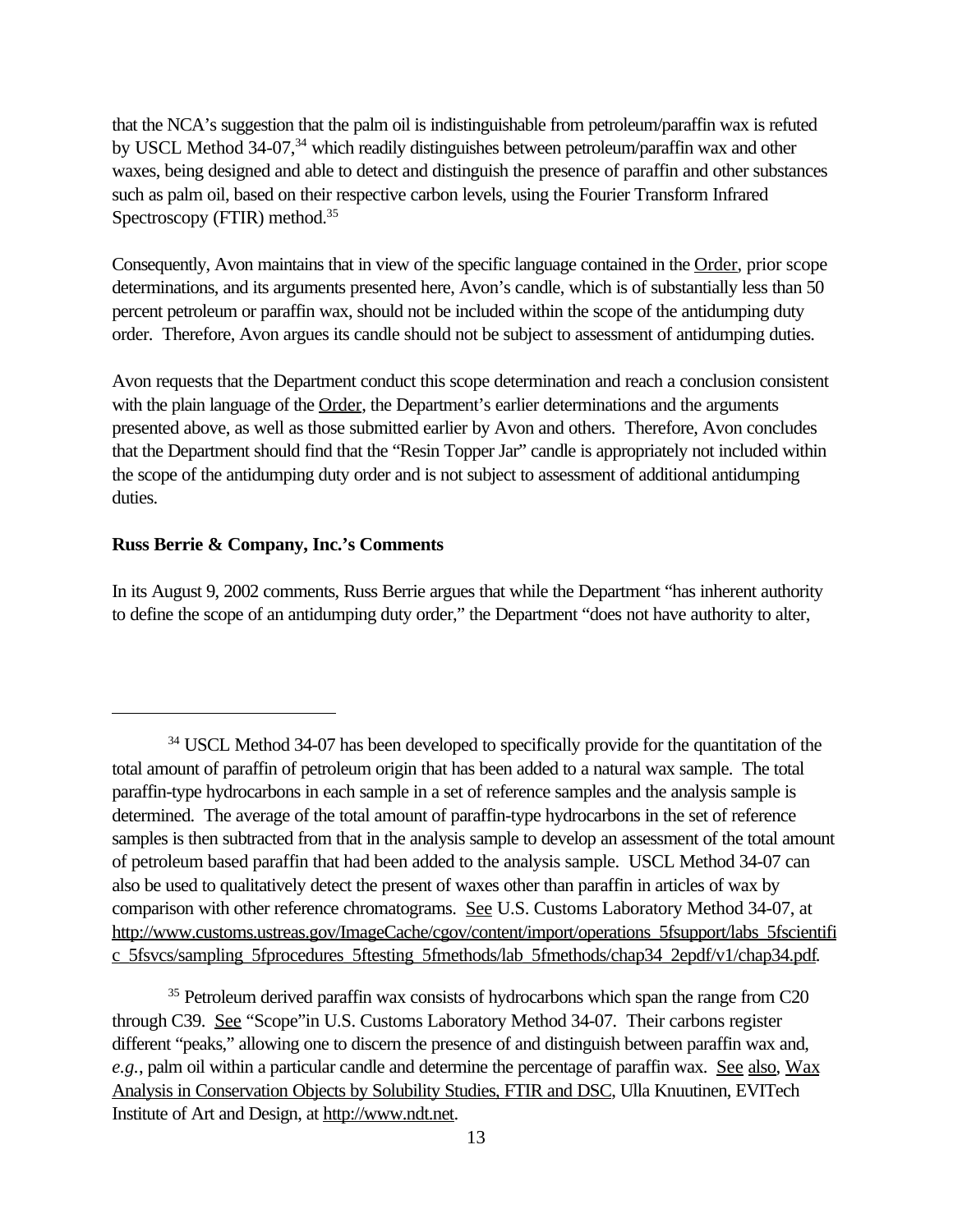that the NCA's suggestion that the palm oil is indistinguishable from petroleum/paraffin wax is refuted by USCL Method 34-07,<sup>34</sup> which readily distinguishes between petroleum/paraffin wax and other waxes, being designed and able to detect and distinguish the presence of paraffin and other substances such as palm oil, based on their respective carbon levels, using the Fourier Transform Infrared Spectroscopy (FTIR) method.<sup>35</sup>

Consequently, Avon maintains that in view of the specific language contained in the Order, prior scope determinations, and its arguments presented here, Avon's candle, which is of substantially less than 50 percent petroleum or paraffin wax, should not be included within the scope of the antidumping duty order. Therefore, Avon argues its candle should not be subject to assessment of antidumping duties.

Avon requests that the Department conduct this scope determination and reach a conclusion consistent with the plain language of the Order, the Department's earlier determinations and the arguments presented above, as well as those submitted earlier by Avon and others. Therefore, Avon concludes that the Department should find that the "Resin Topper Jar" candle is appropriately not included within the scope of the antidumping duty order and is not subject to assessment of additional antidumping duties.

### **Russ Berrie & Company, Inc.'s Comments**

In its August 9, 2002 comments, Russ Berrie argues that while the Department "has inherent authority to define the scope of an antidumping duty order," the Department "does not have authority to alter,

<sup>&</sup>lt;sup>34</sup> USCL Method 34-07 has been developed to specifically provide for the quantitation of the total amount of paraffin of petroleum origin that has been added to a natural wax sample. The total paraffin-type hydrocarbons in each sample in a set of reference samples and the analysis sample is determined. The average of the total amount of paraffin-type hydrocarbons in the set of reference samples is then subtracted from that in the analysis sample to develop an assessment of the total amount of petroleum based paraffin that had been added to the analysis sample. USCL Method 34-07 can also be used to qualitatively detect the present of waxes other than paraffin in articles of wax by comparison with other reference chromatograms. See U.S. Customs Laboratory Method 34-07, at http://www.customs.ustreas.gov/ImageCache/cgov/content/import/operations\_5fsupport/labs\_5fscientifi c\_5fsvcs/sampling\_5fprocedures\_5ftesting\_5fmethods/lab\_5fmethods/chap34\_2epdf/v1/chap34.pdf.

<sup>&</sup>lt;sup>35</sup> Petroleum derived paraffin wax consists of hydrocarbons which span the range from C20 through C39. See "Scope"in U.S. Customs Laboratory Method 34-07. Their carbons register different "peaks," allowing one to discern the presence of and distinguish between paraffin wax and, e.g., palm oil within a particular candle and determine the percentage of paraffin wax. See also, Wax Analysis in Conservation Objects by Solubility Studies, FTIR and DSC, Ulla Knuutinen, EVITech Institute of Art and Design, at http://www.ndt.net.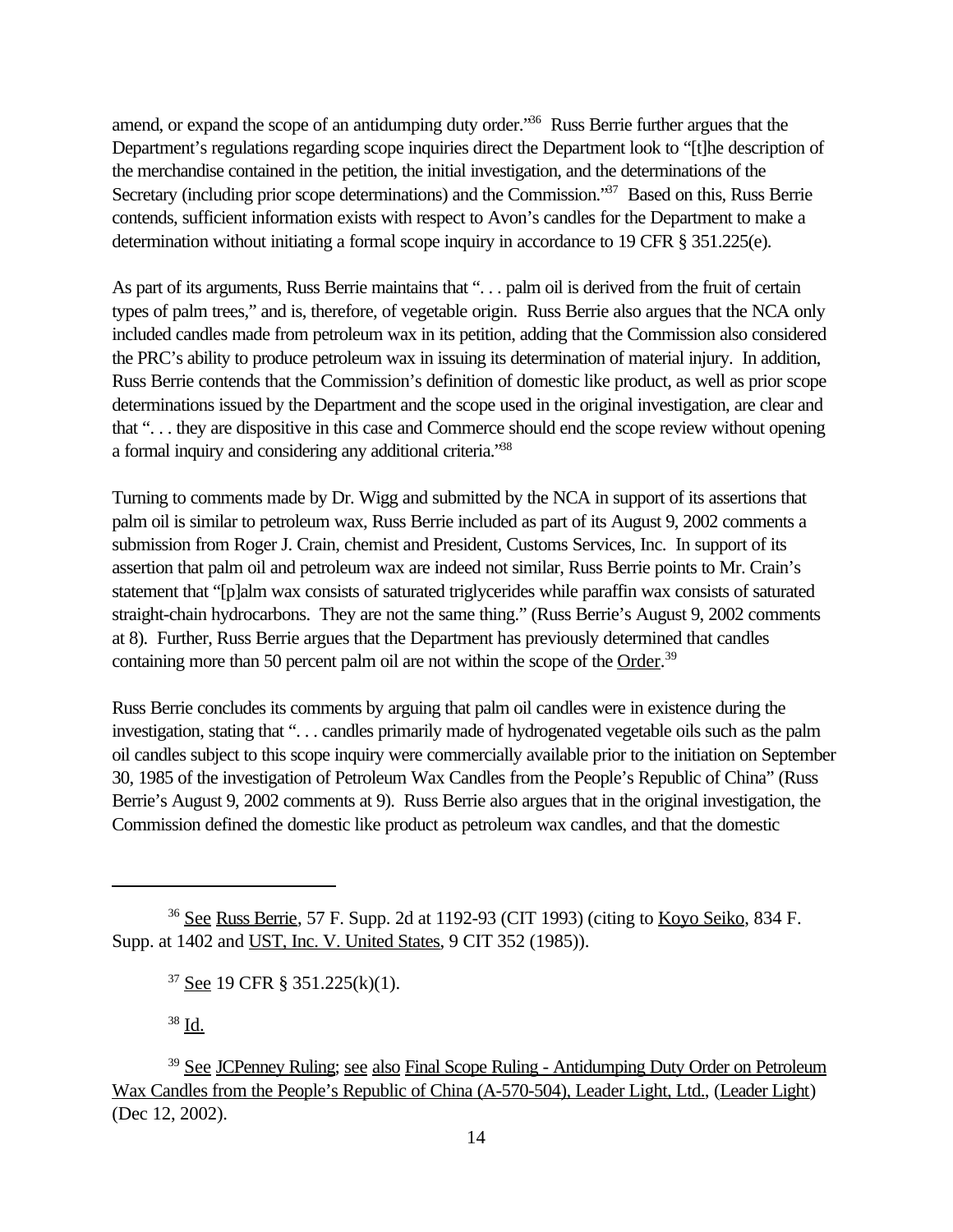amend, or expand the scope of an antidumping duty order."<sup>36</sup> Russ Berrie further argues that the Department's regulations regarding scope inquiries direct the Department look to "[t]he description of the merchandise contained in the petition, the initial investigation, and the determinations of the Secretary (including prior scope determinations) and the Commission.<sup>37</sup> Based on this, Russ Berrie contends, sufficient information exists with respect to Avon's candles for the Department to make a determination without initiating a formal scope inquiry in accordance to 19 CFR § 351.225(e).

As part of its arguments, Russ Berrie maintains that "... palm oil is derived from the fruit of certain types of palm trees," and is, therefore, of vegetable origin. Russ Berrie also argues that the NCA only included candles made from petroleum wax in its petition, adding that the Commission also considered the PRC's ability to produce petroleum wax in issuing its determination of material injury. In addition, Russ Berrie contends that the Commission's definition of domestic like product, as well as prior scope determinations issued by the Department and the scope used in the original investigation, are clear and that ". . . they are dispositive in this case and Commerce should end the scope review without opening a formal inquiry and considering any additional criteria."<sup>38</sup>

Turning to comments made by Dr. Wigg and submitted by the NCA in support of its assertions that palm oil is similar to petroleum wax, Russ Berrie included as part of its August 9, 2002 comments a submission from Roger J. Crain, chemist and President, Customs Services, Inc. In support of its assertion that palm oil and petroleum wax are indeed not similar, Russ Berrie points to Mr. Crain's statement that "[p]alm wax consists of saturated triglycerides while paraffin wax consists of saturated straight-chain hydrocarbons. They are not the same thing." (Russ Berrie's August 9, 2002 comments at 8). Further, Russ Berrie argues that the Department has previously determined that candles containing more than 50 percent palm oil are not within the scope of the Order.<sup>39</sup>

Russ Berrie concludes its comments by arguing that palm oil candles were in existence during the investigation, stating that ". . . candles primarily made of hydrogenated vegetable oils such as the palm oil candles subject to this scope inquiry were commercially available prior to the initiation on September 30, 1985 of the investigation of Petroleum Wax Candles from the People's Republic of China" (Russ Berrie's August 9, 2002 comments at 9). Russ Berrie also argues that in the original investigation, the Commission defined the domestic like product as petroleum wax candles, and that the domestic

<sup>38</sup> Id.

<sup>36</sup> See Russ Berrie, 57 F. Supp. 2d at 1192-93 (CIT 1993) (citing to Koyo Seiko, 834 F. Supp. at 1402 and UST, Inc. V. United States, 9 CIT 352 (1985)).

<sup>37</sup> See 19 CFR § 351.225(k)(1).

<sup>&</sup>lt;sup>39</sup> See JCPenney Ruling; see also Final Scope Ruling - Antidumping Duty Order on Petroleum Wax Candles from the People's Republic of China (A-570-504), Leader Light, Ltd., (Leader Light) (Dec 12, 2002).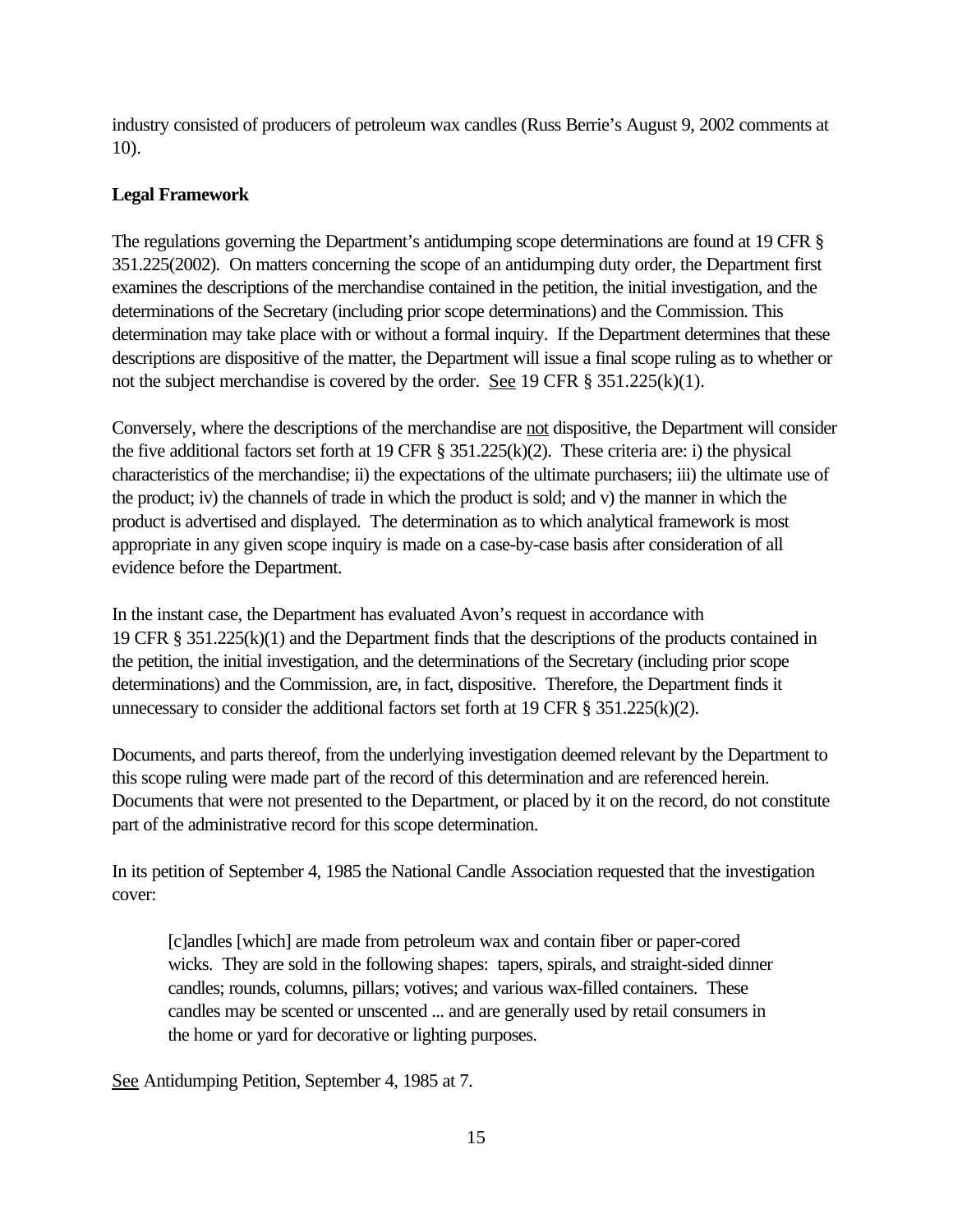industry consisted of producers of petroleum wax candles (Russ Berrie's August 9, 2002 comments at 10).

## **Legal Framework**

The regulations governing the Department's antidumping scope determinations are found at 19 CFR § 351.225(2002). On matters concerning the scope of an antidumping duty order, the Department first examines the descriptions of the merchandise contained in the petition, the initial investigation, and the determinations of the Secretary (including prior scope determinations) and the Commission. This determination may take place with or without a formal inquiry. If the Department determines that these descriptions are dispositive of the matter, the Department will issue a final scope ruling as to whether or not the subject merchandise is covered by the order. See 19 CFR  $\S 351.225(k)(1)$ .

Conversely, where the descriptions of the merchandise are not dispositive, the Department will consider the five additional factors set forth at 19 CFR  $\S$  351.225(k)(2). These criteria are: i) the physical characteristics of the merchandise; ii) the expectations of the ultimate purchasers; iii) the ultimate use of the product; iv) the channels of trade in which the product is sold; and v) the manner in which the product is advertised and displayed. The determination as to which analytical framework is most appropriate in any given scope inquiry is made on a case-by-case basis after consideration of all evidence before the Department.

In the instant case, the Department has evaluated Avon's request in accordance with 19 CFR § 351.225(k)(1) and the Department finds that the descriptions of the products contained in the petition, the initial investigation, and the determinations of the Secretary (including prior scope determinations) and the Commission, are, in fact, dispositive. Therefore, the Department finds it unnecessary to consider the additional factors set forth at 19 CFR § 351.225(k)(2).

Documents, and parts thereof, from the underlying investigation deemed relevant by the Department to this scope ruling were made part of the record of this determination and are referenced herein. Documents that were not presented to the Department, or placed by it on the record, do not constitute part of the administrative record for this scope determination.

In its petition of September 4, 1985 the National Candle Association requested that the investigation cover:

[c]andles [which] are made from petroleum wax and contain fiber or paper-cored wicks. They are sold in the following shapes: tapers, spirals, and straight-sided dinner candles; rounds, columns, pillars; votives; and various wax-filled containers. These candles may be scented or unscented ... and are generally used by retail consumers in the home or yard for decorative or lighting purposes.

See Antidumping Petition, September 4, 1985 at 7.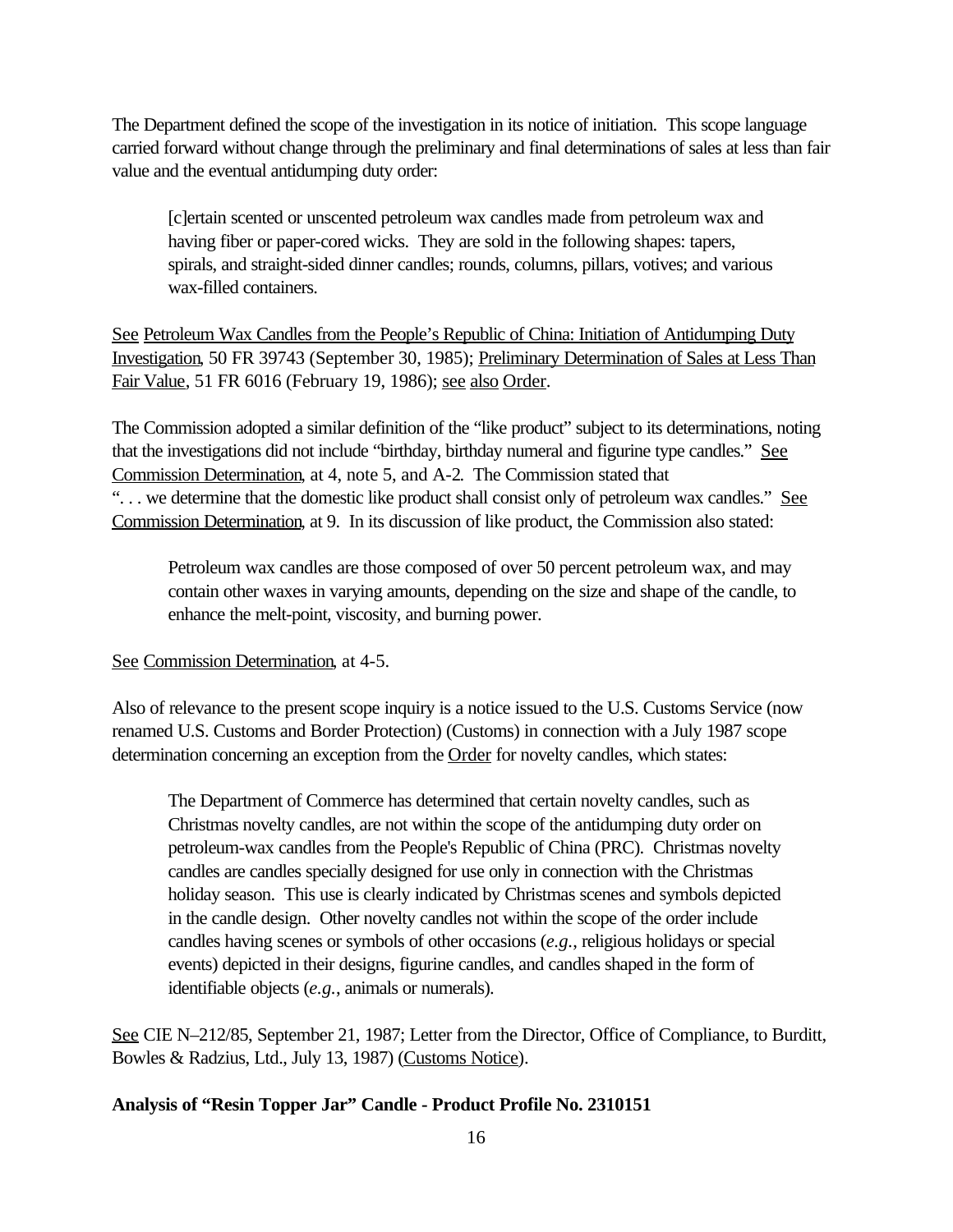The Department defined the scope of the investigation in its notice of initiation. This scope language carried forward without change through the preliminary and final determinations of sales at less than fair value and the eventual antidumping duty order:

[c]ertain scented or unscented petroleum wax candles made from petroleum wax and having fiber or paper-cored wicks. They are sold in the following shapes: tapers, spirals, and straight-sided dinner candles; rounds, columns, pillars, votives; and various wax-filled containers.

See Petroleum Wax Candles from the People's Republic of China: Initiation of Antidumping Duty Investigation, 50 FR 39743 (September 30, 1985); Preliminary Determination of Sales at Less Than Fair Value, 51 FR 6016 (February 19, 1986); see also Order.

The Commission adopted a similar definition of the "like product" subject to its determinations, noting that the investigations did not include "birthday, birthday numeral and figurine type candles." See Commission Determination, at 4, note 5, and A-2. The Commission stated that "... we determine that the domestic like product shall consist only of petroleum wax candles." See Commission Determination, at 9. In its discussion of like product, the Commission also stated:

Petroleum wax candles are those composed of over 50 percent petroleum wax, and may contain other waxes in varying amounts, depending on the size and shape of the candle, to enhance the melt-point, viscosity, and burning power.

See Commission Determination, at 4-5.

Also of relevance to the present scope inquiry is a notice issued to the U.S. Customs Service (now renamed U.S. Customs and Border Protection) (Customs) in connection with a July 1987 scope determination concerning an exception from the Order for novelty candles, which states:

The Department of Commerce has determined that certain novelty candles, such as Christmas novelty candles, are not within the scope of the antidumping duty order on petroleum-wax candles from the People's Republic of China (PRC). Christmas novelty candles are candles specially designed for use only in connection with the Christmas holiday season. This use is clearly indicated by Christmas scenes and symbols depicted in the candle design. Other novelty candles not within the scope of the order include candles having scenes or symbols of other occasions (*e.g.*, religious holidays or special events) depicted in their designs, figurine candles, and candles shaped in the form of identifiable objects (*e.g.*, animals or numerals).

See CIE N–212/85, September 21, 1987; Letter from the Director, Office of Compliance, to Burditt, Bowles & Radzius, Ltd., July 13, 1987) (Customs Notice).

### **Analysis of "Resin Topper Jar" Candle - Product Profile No. 2310151**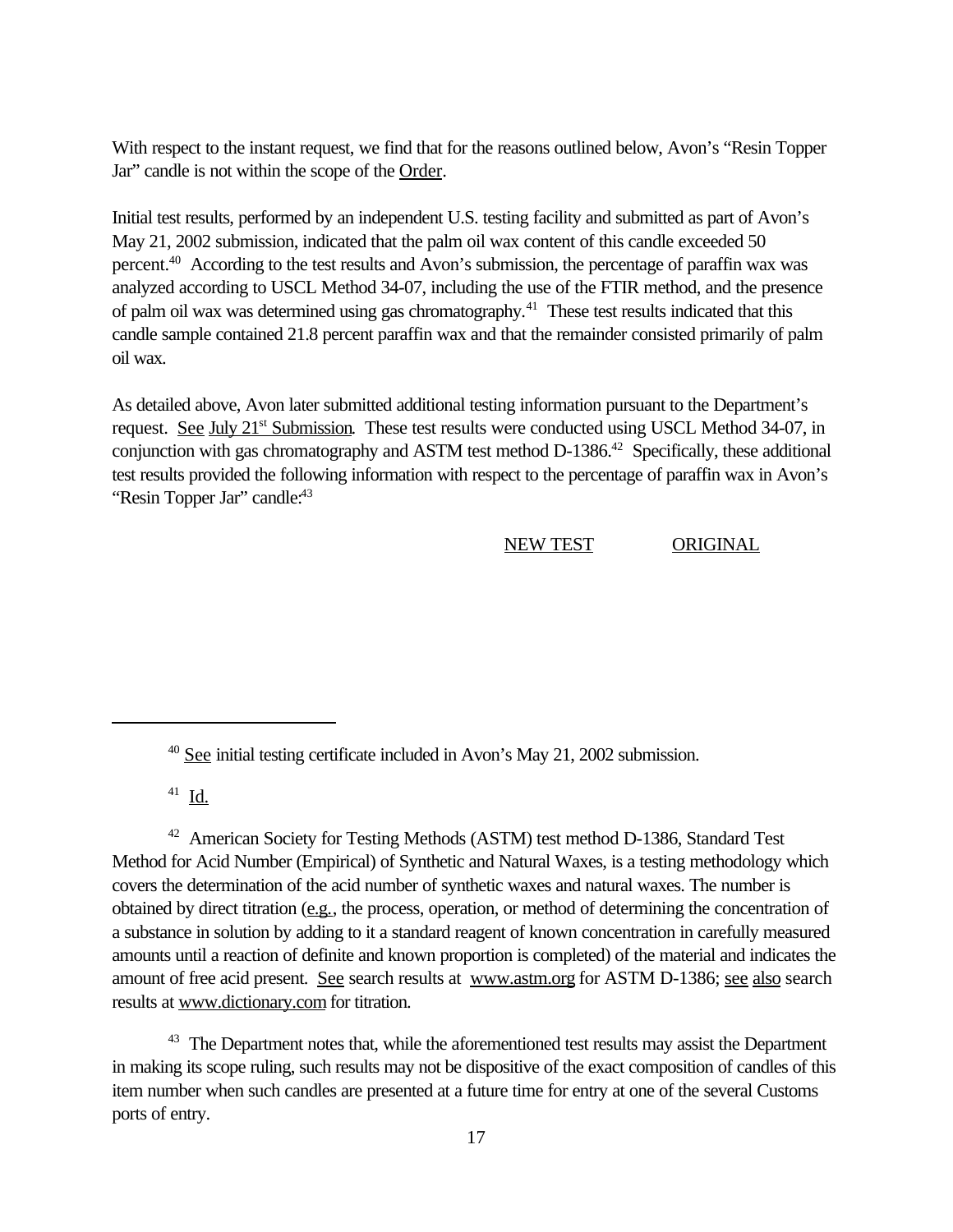With respect to the instant request, we find that for the reasons outlined below, Avon's "Resin Topper Jar" candle is not within the scope of the Order.

Initial test results, performed by an independent U.S. testing facility and submitted as part of Avon's May 21, 2002 submission, indicated that the palm oil wax content of this candle exceeded 50 percent.<sup>40</sup> According to the test results and Avon's submission, the percentage of paraffin wax was analyzed according to USCL Method 34-07, including the use of the FTIR method, and the presence of palm oil wax was determined using gas chromatography.<sup>41</sup> These test results indicated that this candle sample contained 21.8 percent paraffin wax and that the remainder consisted primarily of palm oil wax.

As detailed above, Avon later submitted additional testing information pursuant to the Department's request. See July 21<sup>st</sup> Submission. These test results were conducted using USCL Method 34-07, in conjunction with gas chromatography and ASTM test method  $D-1386<sup>42</sup>$  Specifically, these additional test results provided the following information with respect to the percentage of paraffin wax in Avon's "Resin Topper Jar" candle:<sup>43</sup>

NEW TEST ORIGINAL

 $41$  <u>Id.</u>

<sup>42</sup> American Society for Testing Methods (ASTM) test method D-1386, Standard Test Method for Acid Number (Empirical) of Synthetic and Natural Waxes, is a testing methodology which covers the determination of the acid number of synthetic waxes and natural waxes. The number is obtained by direct titration (e.g., the process, operation, or method of determining the concentration of a substance in solution by adding to it a standard reagent of known concentration in carefully measured amounts until a reaction of definite and known proportion is completed) of the material and indicates the amount of free acid present. See search results at www.astm.org for ASTM D-1386; see also search results at www.dictionary.com for titration.

<sup>43</sup> The Department notes that, while the aforementioned test results may assist the Department in making its scope ruling, such results may not be dispositive of the exact composition of candles of this item number when such candles are presented at a future time for entry at one of the several Customs ports of entry.

<sup>40</sup> See initial testing certificate included in Avon's May 21, 2002 submission.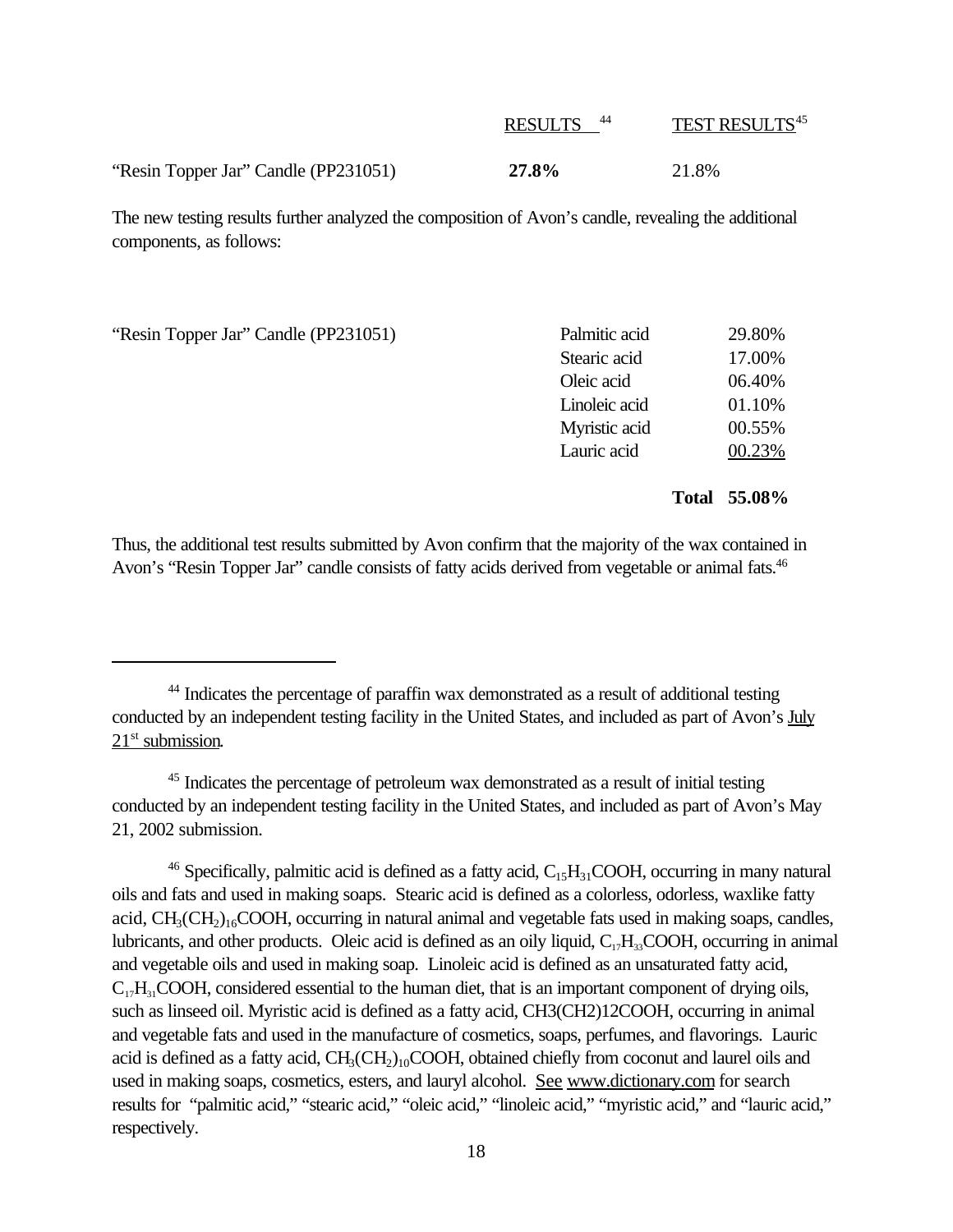|                                      | <b>RESULTS</b> | <b>TEST RESULTS45</b> |
|--------------------------------------|----------------|-----------------------|
| "Resin Topper Jar" Candle (PP231051) | 27.8%          | 21.8%                 |

The new testing results further analyzed the composition of Avon's candle, revealing the additional components, as follows:

| "Resin Topper Jar" Candle (PP231051) | Palmitic acid | 29.80% |
|--------------------------------------|---------------|--------|
|                                      | Stearic acid  | 17.00% |
|                                      | Oleic acid    | 06.40% |
|                                      | Linoleic acid | 01.10% |
|                                      | Myristic acid | 00.55% |
|                                      | Lauric acid   | 00.23% |

#### **Total 55.08%**

Thus, the additional test results submitted by Avon confirm that the majority of the wax contained in Avon's "Resin Topper Jar" candle consists of fatty acids derived from vegetable or animal fats.<sup>46</sup>

<sup>45</sup> Indicates the percentage of petroleum wax demonstrated as a result of initial testing conducted by an independent testing facility in the United States, and included as part of Avon's May 21, 2002 submission.

<sup>46</sup> Specifically, palmitic acid is defined as a fatty acid,  $C_{15}H_{31}COOH$ , occurring in many natural oils and fats and used in making soaps. Stearic acid is defined as a colorless, odorless, waxlike fatty acid, CH<sub>3</sub>(CH<sub>2</sub>)<sub>16</sub>COOH, occurring in natural animal and vegetable fats used in making soaps, candles, lubricants, and other products. Oleic acid is defined as an oily liquid,  $C_{17}H_{33}COOH$ , occurring in animal and vegetable oils and used in making soap. Linoleic acid is defined as an unsaturated fatty acid,  $C_{17}H_{31}COOH$ , considered essential to the human diet, that is an important component of drying oils, such as linseed oil. Myristic acid is defined as a fatty acid, CH3(CH2)12COOH, occurring in animal and vegetable fats and used in the manufacture of cosmetics, soaps, perfumes, and flavorings. Lauric acid is defined as a fatty acid,  $CH_3(CH_2)_{10}COOH$ , obtained chiefly from coconut and laurel oils and used in making soaps, cosmetics, esters, and lauryl alcohol. See www.dictionary.com for search results for "palmitic acid," "stearic acid," "oleic acid," "linoleic acid," "myristic acid," and "lauric acid," respectively.

<sup>44</sup> Indicates the percentage of paraffin wax demonstrated as a result of additional testing conducted by an independent testing facility in the United States, and included as part of Avon's July  $21<sup>st</sup>$  submission.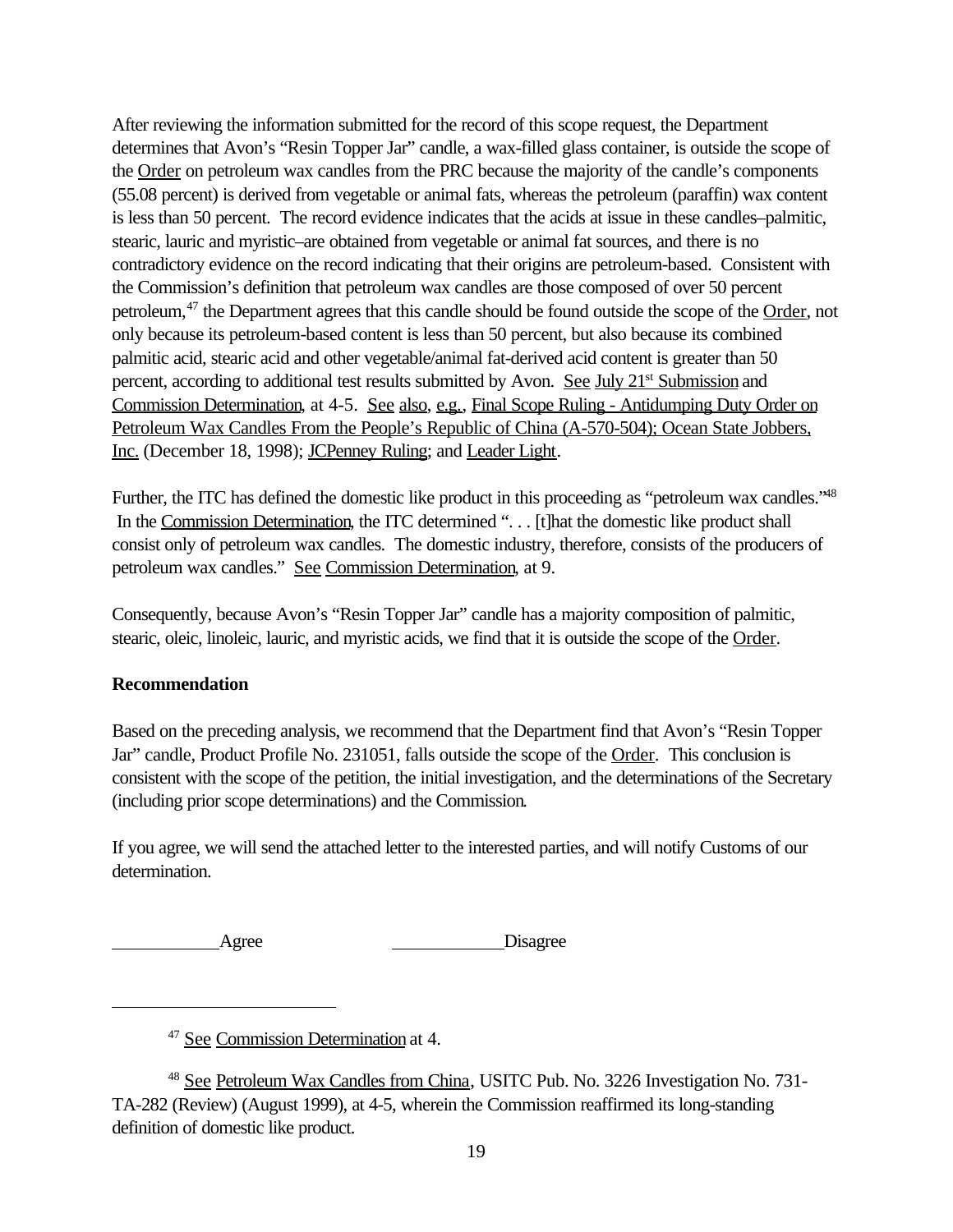After reviewing the information submitted for the record of this scope request, the Department determines that Avon's "Resin Topper Jar" candle, a wax-filled glass container, is outside the scope of the Order on petroleum wax candles from the PRC because the majority of the candle's components (55.08 percent) is derived from vegetable or animal fats, whereas the petroleum (paraffin) wax content is less than 50 percent. The record evidence indicates that the acids at issue in these candles–palmitic, stearic, lauric and myristic–are obtained from vegetable or animal fat sources, and there is no contradictory evidence on the record indicating that their origins are petroleum-based. Consistent with the Commission's definition that petroleum wax candles are those composed of over 50 percent petroleum,<sup>47</sup> the Department agrees that this candle should be found outside the scope of the Order, not only because its petroleum-based content is less than 50 percent, but also because its combined palmitic acid, stearic acid and other vegetable/animal fat-derived acid content is greater than 50 percent, according to additional test results submitted by Avon. See July 21<sup>st</sup> Submission and Commission Determination, at 4-5. See also, e.g., Final Scope Ruling - Antidumping Duty Order on Petroleum Wax Candles From the People's Republic of China (A-570-504); Ocean State Jobbers, Inc. (December 18, 1998); JCPenney Ruling; and Leader Light.

Further, the ITC has defined the domestic like product in this proceeding as "petroleum wax candles."<sup>48</sup> In the Commission Determination, the ITC determined ". . . [t]hat the domestic like product shall consist only of petroleum wax candles. The domestic industry, therefore, consists of the producers of petroleum wax candles." See Commission Determination, at 9.

Consequently, because Avon's "Resin Topper Jar" candle has a majority composition of palmitic, stearic, oleic, linoleic, lauric, and myristic acids, we find that it is outside the scope of the Order.

## **Recommendation**

Based on the preceding analysis, we recommend that the Department find that Avon's "Resin Topper Jar" candle, Product Profile No. 231051, falls outside the scope of the Order. This conclusion is consistent with the scope of the petition, the initial investigation, and the determinations of the Secretary (including prior scope determinations) and the Commission.

If you agree, we will send the attached letter to the interested parties, and will notify Customs of our determination.

Agree Disagree

<sup>47</sup> See Commission Determination at 4.

<sup>48</sup> See Petroleum Wax Candles from China, USITC Pub. No. 3226 Investigation No. 731- TA-282 (Review) (August 1999), at 4-5, wherein the Commission reaffirmed its long-standing definition of domestic like product.